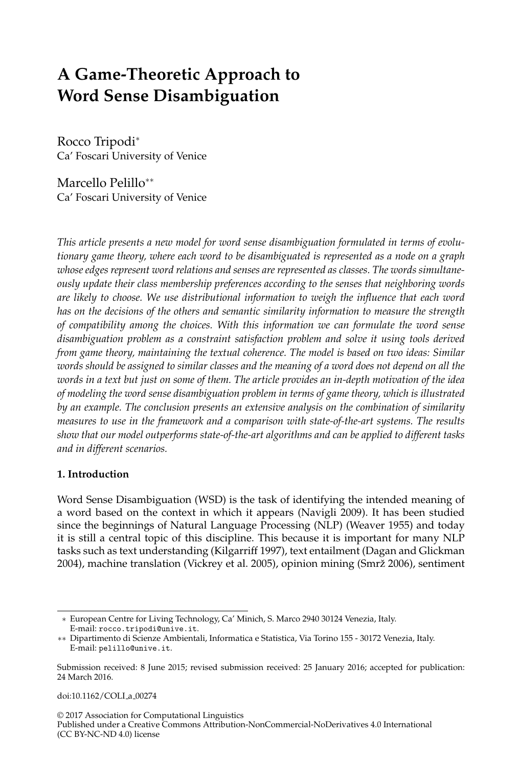# **A Game-Theoretic Approach to Word Sense Disambiguation**

Rocco Tripodi<sup>∗</sup> Ca' Foscari University of Venice

Marcello Pelillo∗∗ Ca' Foscari University of Venice

*This article presents a new model for word sense disambiguation formulated in terms of evolutionary game theory, where each word to be disambiguated is represented as a node on a graph whose edges represent word relations and senses are represented as classes. The words simultaneously update their class membership preferences according to the senses that neighboring words are likely to choose. We use distributional information to weigh the influence that each word has on the decisions of the others and semantic similarity information to measure the strength of compatibility among the choices. With this information we can formulate the word sense disambiguation problem as a constraint satisfaction problem and solve it using tools derived from game theory, maintaining the textual coherence. The model is based on two ideas: Similar words should be assigned to similar classes and the meaning of a word does not depend on all the words in a text but just on some of them. The article provides an in-depth motivation of the idea of modeling the word sense disambiguation problem in terms of game theory, which is illustrated by an example. The conclusion presents an extensive analysis on the combination of similarity measures to use in the framework and a comparison with state-of-the-art systems. The results show that our model outperforms state-of-the-art algorithms and can be applied to different tasks and in different scenarios.*

### **1. Introduction**

Word Sense Disambiguation (WSD) is the task of identifying the intended meaning of a word based on the context in which it appears (Navigli 2009). It has been studied since the beginnings of Natural Language Processing (NLP) (Weaver 1955) and today it is still a central topic of this discipline. This because it is important for many NLP tasks such as text understanding (Kilgarriff 1997), text entailment (Dagan and Glickman 2004), machine translation (Vickrey et al. 2005), opinion mining (Smrž 2006), sentiment

doi:10.1162/COLI a 00274

© 2017 Association for Computational Linguistics Published under a Creative Commons Attribution-NonCommercial-NoDerivatives 4.0 International (CC BY-NC-ND 4.0) license

<sup>∗</sup> European Centre for Living Technology, Ca' Minich, S. Marco 2940 30124 Venezia, Italy. E-mail: rocco.tripodi@unive.it.

<sup>∗∗</sup> Dipartimento di Scienze Ambientali, Informatica e Statistica, Via Torino 155 - 30172 Venezia, Italy. E-mail: pelillo@unive.it.

Submission received: 8 June 2015; revised submission received: 25 January 2016; accepted for publication: 24 March 2016.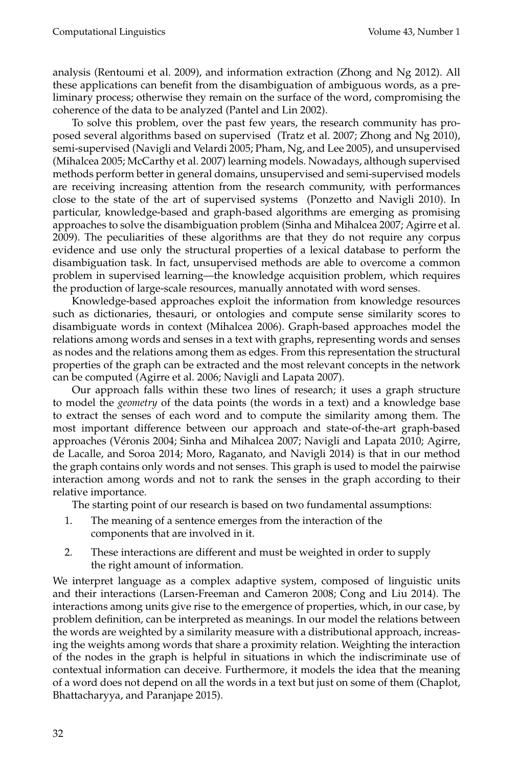analysis (Rentoumi et al. 2009), and information extraction (Zhong and Ng 2012). All these applications can benefit from the disambiguation of ambiguous words, as a preliminary process; otherwise they remain on the surface of the word, compromising the coherence of the data to be analyzed (Pantel and Lin 2002).

To solve this problem, over the past few years, the research community has proposed several algorithms based on supervised (Tratz et al. 2007; Zhong and Ng 2010), semi-supervised (Navigli and Velardi 2005; Pham, Ng, and Lee 2005), and unsupervised (Mihalcea 2005; McCarthy et al. 2007) learning models. Nowadays, although supervised methods perform better in general domains, unsupervised and semi-supervised models are receiving increasing attention from the research community, with performances close to the state of the art of supervised systems (Ponzetto and Navigli 2010). In particular, knowledge-based and graph-based algorithms are emerging as promising approaches to solve the disambiguation problem (Sinha and Mihalcea 2007; Agirre et al. 2009). The peculiarities of these algorithms are that they do not require any corpus evidence and use only the structural properties of a lexical database to perform the disambiguation task. In fact, unsupervised methods are able to overcome a common problem in supervised learning—the knowledge acquisition problem, which requires the production of large-scale resources, manually annotated with word senses.

Knowledge-based approaches exploit the information from knowledge resources such as dictionaries, thesauri, or ontologies and compute sense similarity scores to disambiguate words in context (Mihalcea 2006). Graph-based approaches model the relations among words and senses in a text with graphs, representing words and senses as nodes and the relations among them as edges. From this representation the structural properties of the graph can be extracted and the most relevant concepts in the network can be computed (Agirre et al. 2006; Navigli and Lapata 2007).

Our approach falls within these two lines of research; it uses a graph structure to model the *geometry* of the data points (the words in a text) and a knowledge base to extract the senses of each word and to compute the similarity among them. The most important difference between our approach and state-of-the-art graph-based approaches (Veronis 2004; Sinha and Mihalcea 2007; Navigli and Lapata 2010; Agirre, ´ de Lacalle, and Soroa 2014; Moro, Raganato, and Navigli 2014) is that in our method the graph contains only words and not senses. This graph is used to model the pairwise interaction among words and not to rank the senses in the graph according to their relative importance.

The starting point of our research is based on two fundamental assumptions:

- 1. The meaning of a sentence emerges from the interaction of the components that are involved in it.
- 2. These interactions are different and must be weighted in order to supply the right amount of information.

We interpret language as a complex adaptive system, composed of linguistic units and their interactions (Larsen-Freeman and Cameron 2008; Cong and Liu 2014). The interactions among units give rise to the emergence of properties, which, in our case, by problem definition, can be interpreted as meanings. In our model the relations between the words are weighted by a similarity measure with a distributional approach, increasing the weights among words that share a proximity relation. Weighting the interaction of the nodes in the graph is helpful in situations in which the indiscriminate use of contextual information can deceive. Furthermore, it models the idea that the meaning of a word does not depend on all the words in a text but just on some of them (Chaplot, Bhattacharyya, and Paranjape 2015).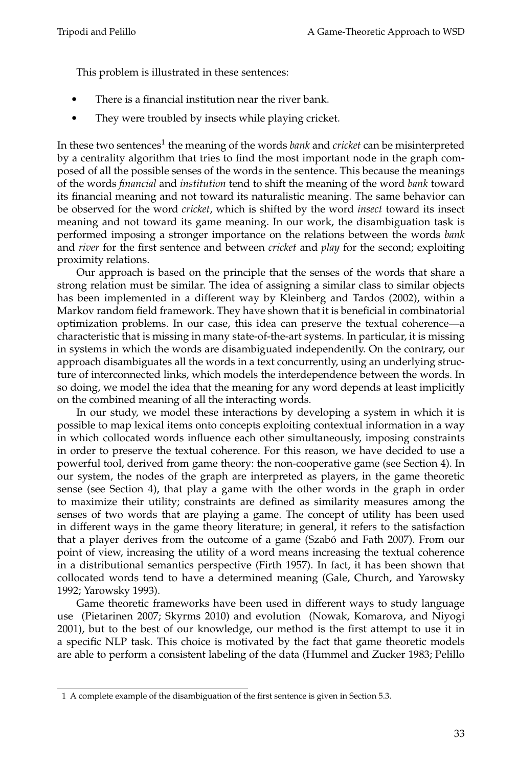This problem is illustrated in these sentences:

- There is a financial institution near the river bank.
- They were troubled by insects while playing cricket.

In these two sentences<sup>1</sup> the meaning of the words *bank* and *cricket* can be misinterpreted by a centrality algorithm that tries to find the most important node in the graph composed of all the possible senses of the words in the sentence. This because the meanings of the words *financial* and *institution* tend to shift the meaning of the word *bank* toward its financial meaning and not toward its naturalistic meaning. The same behavior can be observed for the word *cricket*, which is shifted by the word *insect* toward its insect meaning and not toward its game meaning. In our work, the disambiguation task is performed imposing a stronger importance on the relations between the words *bank* and *river* for the first sentence and between *cricket* and *play* for the second; exploiting proximity relations.

Our approach is based on the principle that the senses of the words that share a strong relation must be similar. The idea of assigning a similar class to similar objects has been implemented in a different way by Kleinberg and Tardos (2002), within a Markov random field framework. They have shown that it is beneficial in combinatorial optimization problems. In our case, this idea can preserve the textual coherence—a characteristic that is missing in many state-of-the-art systems. In particular, it is missing in systems in which the words are disambiguated independently. On the contrary, our approach disambiguates all the words in a text concurrently, using an underlying structure of interconnected links, which models the interdependence between the words. In so doing, we model the idea that the meaning for any word depends at least implicitly on the combined meaning of all the interacting words.

In our study, we model these interactions by developing a system in which it is possible to map lexical items onto concepts exploiting contextual information in a way in which collocated words influence each other simultaneously, imposing constraints in order to preserve the textual coherence. For this reason, we have decided to use a powerful tool, derived from game theory: the non-cooperative game (see Section 4). In our system, the nodes of the graph are interpreted as players, in the game theoretic sense (see Section 4), that play a game with the other words in the graph in order to maximize their utility; constraints are defined as similarity measures among the senses of two words that are playing a game. The concept of utility has been used in different ways in the game theory literature; in general, it refers to the satisfaction that a player derives from the outcome of a game (Szabó and Fath 2007). From our point of view, increasing the utility of a word means increasing the textual coherence in a distributional semantics perspective (Firth 1957). In fact, it has been shown that collocated words tend to have a determined meaning (Gale, Church, and Yarowsky 1992; Yarowsky 1993).

Game theoretic frameworks have been used in different ways to study language use (Pietarinen 2007; Skyrms 2010) and evolution (Nowak, Komarova, and Niyogi 2001), but to the best of our knowledge, our method is the first attempt to use it in a specific NLP task. This choice is motivated by the fact that game theoretic models are able to perform a consistent labeling of the data (Hummel and Zucker 1983; Pelillo

<sup>1</sup> A complete example of the disambiguation of the first sentence is given in Section 5.3.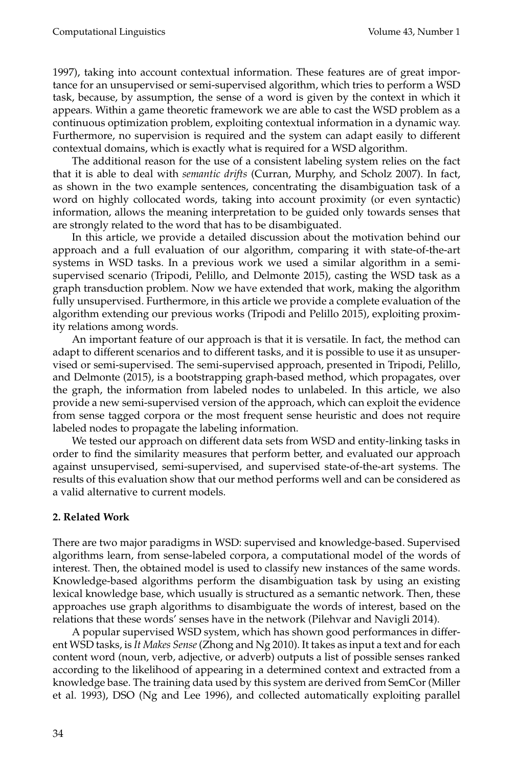1997), taking into account contextual information. These features are of great importance for an unsupervised or semi-supervised algorithm, which tries to perform a WSD task, because, by assumption, the sense of a word is given by the context in which it appears. Within a game theoretic framework we are able to cast the WSD problem as a continuous optimization problem, exploiting contextual information in a dynamic way. Furthermore, no supervision is required and the system can adapt easily to different contextual domains, which is exactly what is required for a WSD algorithm.

The additional reason for the use of a consistent labeling system relies on the fact that it is able to deal with *semantic drifts* (Curran, Murphy, and Scholz 2007). In fact, as shown in the two example sentences, concentrating the disambiguation task of a word on highly collocated words, taking into account proximity (or even syntactic) information, allows the meaning interpretation to be guided only towards senses that are strongly related to the word that has to be disambiguated.

In this article, we provide a detailed discussion about the motivation behind our approach and a full evaluation of our algorithm, comparing it with state-of-the-art systems in WSD tasks. In a previous work we used a similar algorithm in a semisupervised scenario (Tripodi, Pelillo, and Delmonte 2015), casting the WSD task as a graph transduction problem. Now we have extended that work, making the algorithm fully unsupervised. Furthermore, in this article we provide a complete evaluation of the algorithm extending our previous works (Tripodi and Pelillo 2015), exploiting proximity relations among words.

An important feature of our approach is that it is versatile. In fact, the method can adapt to different scenarios and to different tasks, and it is possible to use it as unsupervised or semi-supervised. The semi-supervised approach, presented in Tripodi, Pelillo, and Delmonte (2015), is a bootstrapping graph-based method, which propagates, over the graph, the information from labeled nodes to unlabeled. In this article, we also provide a new semi-supervised version of the approach, which can exploit the evidence from sense tagged corpora or the most frequent sense heuristic and does not require labeled nodes to propagate the labeling information.

We tested our approach on different data sets from WSD and entity-linking tasks in order to find the similarity measures that perform better, and evaluated our approach against unsupervised, semi-supervised, and supervised state-of-the-art systems. The results of this evaluation show that our method performs well and can be considered as a valid alternative to current models.

### **2. Related Work**

There are two major paradigms in WSD: supervised and knowledge-based. Supervised algorithms learn, from sense-labeled corpora, a computational model of the words of interest. Then, the obtained model is used to classify new instances of the same words. Knowledge-based algorithms perform the disambiguation task by using an existing lexical knowledge base, which usually is structured as a semantic network. Then, these approaches use graph algorithms to disambiguate the words of interest, based on the relations that these words' senses have in the network (Pilehvar and Navigli 2014).

A popular supervised WSD system, which has shown good performances in different WSD tasks, is *It Makes Sense*(Zhong and Ng 2010). It takes as input a text and for each content word (noun, verb, adjective, or adverb) outputs a list of possible senses ranked according to the likelihood of appearing in a determined context and extracted from a knowledge base. The training data used by this system are derived from SemCor (Miller et al. 1993), DSO (Ng and Lee 1996), and collected automatically exploiting parallel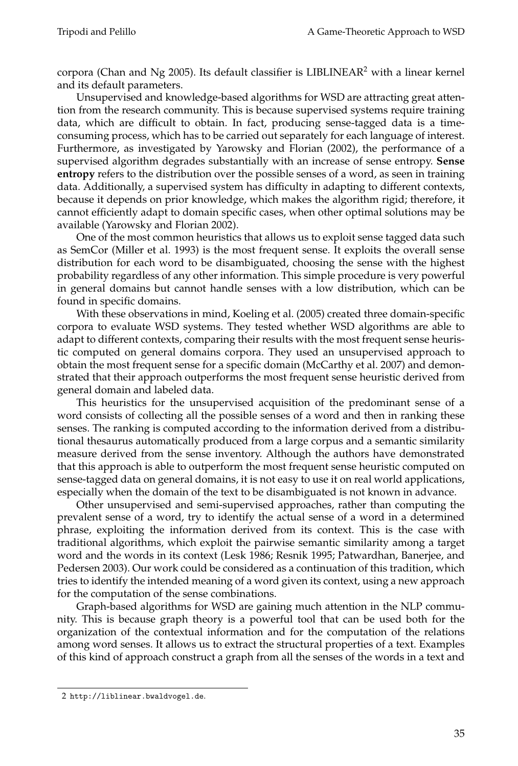corpora (Chan and Ng 2005). Its default classifier is LIBLINEAR<sup>2</sup> with a linear kernel and its default parameters.

Unsupervised and knowledge-based algorithms for WSD are attracting great attention from the research community. This is because supervised systems require training data, which are difficult to obtain. In fact, producing sense-tagged data is a timeconsuming process, which has to be carried out separately for each language of interest. Furthermore, as investigated by Yarowsky and Florian (2002), the performance of a supervised algorithm degrades substantially with an increase of sense entropy. **Sense entropy** refers to the distribution over the possible senses of a word, as seen in training data. Additionally, a supervised system has difficulty in adapting to different contexts, because it depends on prior knowledge, which makes the algorithm rigid; therefore, it cannot efficiently adapt to domain specific cases, when other optimal solutions may be available (Yarowsky and Florian 2002).

One of the most common heuristics that allows us to exploit sense tagged data such as SemCor (Miller et al. 1993) is the most frequent sense. It exploits the overall sense distribution for each word to be disambiguated, choosing the sense with the highest probability regardless of any other information. This simple procedure is very powerful in general domains but cannot handle senses with a low distribution, which can be found in specific domains.

With these observations in mind, Koeling et al. (2005) created three domain-specific corpora to evaluate WSD systems. They tested whether WSD algorithms are able to adapt to different contexts, comparing their results with the most frequent sense heuristic computed on general domains corpora. They used an unsupervised approach to obtain the most frequent sense for a specific domain (McCarthy et al. 2007) and demonstrated that their approach outperforms the most frequent sense heuristic derived from general domain and labeled data.

This heuristics for the unsupervised acquisition of the predominant sense of a word consists of collecting all the possible senses of a word and then in ranking these senses. The ranking is computed according to the information derived from a distributional thesaurus automatically produced from a large corpus and a semantic similarity measure derived from the sense inventory. Although the authors have demonstrated that this approach is able to outperform the most frequent sense heuristic computed on sense-tagged data on general domains, it is not easy to use it on real world applications, especially when the domain of the text to be disambiguated is not known in advance.

Other unsupervised and semi-supervised approaches, rather than computing the prevalent sense of a word, try to identify the actual sense of a word in a determined phrase, exploiting the information derived from its context. This is the case with traditional algorithms, which exploit the pairwise semantic similarity among a target word and the words in its context (Lesk 1986; Resnik 1995; Patwardhan, Banerjee, and Pedersen 2003). Our work could be considered as a continuation of this tradition, which tries to identify the intended meaning of a word given its context, using a new approach for the computation of the sense combinations.

Graph-based algorithms for WSD are gaining much attention in the NLP community. This is because graph theory is a powerful tool that can be used both for the organization of the contextual information and for the computation of the relations among word senses. It allows us to extract the structural properties of a text. Examples of this kind of approach construct a graph from all the senses of the words in a text and

<sup>2</sup> http://liblinear.bwaldvogel.de.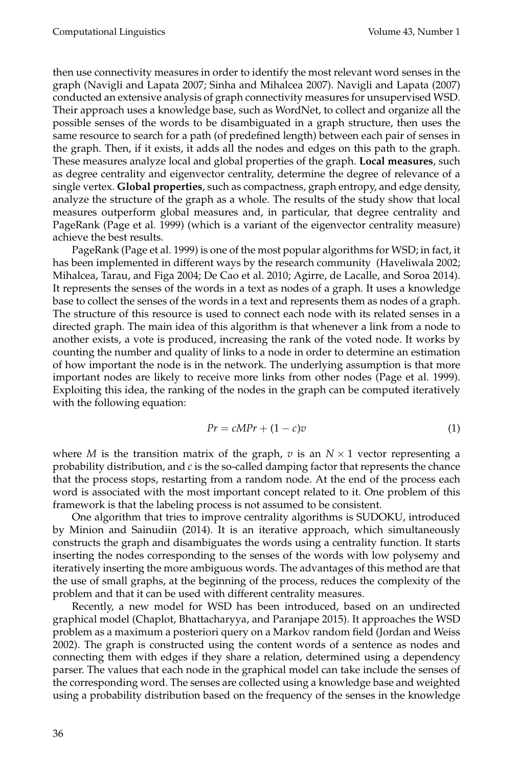then use connectivity measures in order to identify the most relevant word senses in the graph (Navigli and Lapata 2007; Sinha and Mihalcea 2007). Navigli and Lapata (2007) conducted an extensive analysis of graph connectivity measures for unsupervised WSD. Their approach uses a knowledge base, such as WordNet, to collect and organize all the possible senses of the words to be disambiguated in a graph structure, then uses the same resource to search for a path (of predefined length) between each pair of senses in the graph. Then, if it exists, it adds all the nodes and edges on this path to the graph. These measures analyze local and global properties of the graph. **Local measures**, such as degree centrality and eigenvector centrality, determine the degree of relevance of a single vertex. **Global properties**, such as compactness, graph entropy, and edge density, analyze the structure of the graph as a whole. The results of the study show that local measures outperform global measures and, in particular, that degree centrality and PageRank (Page et al. 1999) (which is a variant of the eigenvector centrality measure) achieve the best results.

PageRank (Page et al. 1999) is one of the most popular algorithms for WSD; in fact, it has been implemented in different ways by the research community (Haveliwala 2002; Mihalcea, Tarau, and Figa 2004; De Cao et al. 2010; Agirre, de Lacalle, and Soroa 2014). It represents the senses of the words in a text as nodes of a graph. It uses a knowledge base to collect the senses of the words in a text and represents them as nodes of a graph. The structure of this resource is used to connect each node with its related senses in a directed graph. The main idea of this algorithm is that whenever a link from a node to another exists, a vote is produced, increasing the rank of the voted node. It works by counting the number and quality of links to a node in order to determine an estimation of how important the node is in the network. The underlying assumption is that more important nodes are likely to receive more links from other nodes (Page et al. 1999). Exploiting this idea, the ranking of the nodes in the graph can be computed iteratively with the following equation:

$$
Pr = cMPr + (1 - c)v \tag{1}
$$

where *M* is the transition matrix of the graph, *v* is an  $N \times 1$  vector representing a probability distribution, and *c* is the so-called damping factor that represents the chance that the process stops, restarting from a random node. At the end of the process each word is associated with the most important concept related to it. One problem of this framework is that the labeling process is not assumed to be consistent.

One algorithm that tries to improve centrality algorithms is SUDOKU, introduced by Minion and Sainudiin (2014). It is an iterative approach, which simultaneously constructs the graph and disambiguates the words using a centrality function. It starts inserting the nodes corresponding to the senses of the words with low polysemy and iteratively inserting the more ambiguous words. The advantages of this method are that the use of small graphs, at the beginning of the process, reduces the complexity of the problem and that it can be used with different centrality measures.

Recently, a new model for WSD has been introduced, based on an undirected graphical model (Chaplot, Bhattacharyya, and Paranjape 2015). It approaches the WSD problem as a maximum a posteriori query on a Markov random field (Jordan and Weiss 2002). The graph is constructed using the content words of a sentence as nodes and connecting them with edges if they share a relation, determined using a dependency parser. The values that each node in the graphical model can take include the senses of the corresponding word. The senses are collected using a knowledge base and weighted using a probability distribution based on the frequency of the senses in the knowledge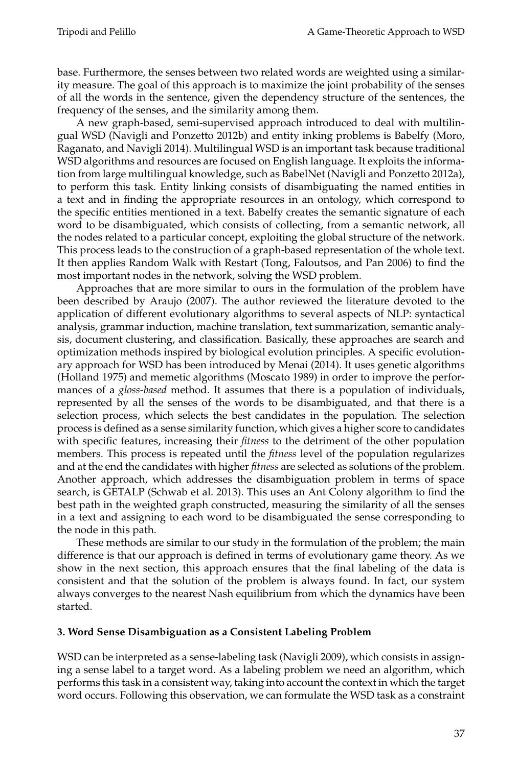base. Furthermore, the senses between two related words are weighted using a similarity measure. The goal of this approach is to maximize the joint probability of the senses of all the words in the sentence, given the dependency structure of the sentences, the frequency of the senses, and the similarity among them.

A new graph-based, semi-supervised approach introduced to deal with multilingual WSD (Navigli and Ponzetto 2012b) and entity inking problems is Babelfy (Moro, Raganato, and Navigli 2014). Multilingual WSD is an important task because traditional WSD algorithms and resources are focused on English language. It exploits the information from large multilingual knowledge, such as BabelNet (Navigli and Ponzetto 2012a), to perform this task. Entity linking consists of disambiguating the named entities in a text and in finding the appropriate resources in an ontology, which correspond to the specific entities mentioned in a text. Babelfy creates the semantic signature of each word to be disambiguated, which consists of collecting, from a semantic network, all the nodes related to a particular concept, exploiting the global structure of the network. This process leads to the construction of a graph-based representation of the whole text. It then applies Random Walk with Restart (Tong, Faloutsos, and Pan 2006) to find the most important nodes in the network, solving the WSD problem.

Approaches that are more similar to ours in the formulation of the problem have been described by Araujo (2007). The author reviewed the literature devoted to the application of different evolutionary algorithms to several aspects of NLP: syntactical analysis, grammar induction, machine translation, text summarization, semantic analysis, document clustering, and classification. Basically, these approaches are search and optimization methods inspired by biological evolution principles. A specific evolutionary approach for WSD has been introduced by Menai (2014). It uses genetic algorithms (Holland 1975) and memetic algorithms (Moscato 1989) in order to improve the performances of a *gloss-based* method. It assumes that there is a population of individuals, represented by all the senses of the words to be disambiguated, and that there is a selection process, which selects the best candidates in the population. The selection process is defined as a sense similarity function, which gives a higher score to candidates with specific features, increasing their *fitness* to the detriment of the other population members. This process is repeated until the *fitness* level of the population regularizes and at the end the candidates with higher *fitness* are selected as solutions of the problem. Another approach, which addresses the disambiguation problem in terms of space search, is GETALP (Schwab et al. 2013). This uses an Ant Colony algorithm to find the best path in the weighted graph constructed, measuring the similarity of all the senses in a text and assigning to each word to be disambiguated the sense corresponding to the node in this path.

These methods are similar to our study in the formulation of the problem; the main difference is that our approach is defined in terms of evolutionary game theory. As we show in the next section, this approach ensures that the final labeling of the data is consistent and that the solution of the problem is always found. In fact, our system always converges to the nearest Nash equilibrium from which the dynamics have been started.

### **3. Word Sense Disambiguation as a Consistent Labeling Problem**

WSD can be interpreted as a sense-labeling task (Navigli 2009), which consists in assigning a sense label to a target word. As a labeling problem we need an algorithm, which performs this task in a consistent way, taking into account the context in which the target word occurs. Following this observation, we can formulate the WSD task as a constraint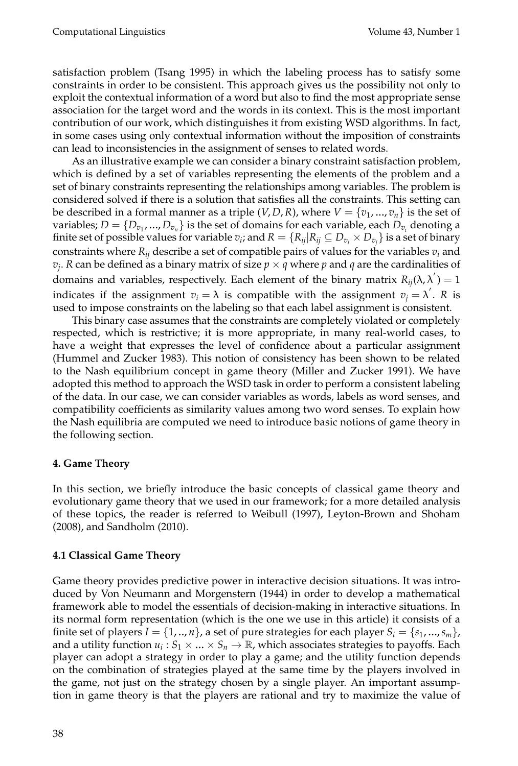satisfaction problem (Tsang 1995) in which the labeling process has to satisfy some constraints in order to be consistent. This approach gives us the possibility not only to exploit the contextual information of a word but also to find the most appropriate sense association for the target word and the words in its context. This is the most important contribution of our work, which distinguishes it from existing WSD algorithms. In fact, in some cases using only contextual information without the imposition of constraints can lead to inconsistencies in the assignment of senses to related words.

As an illustrative example we can consider a binary constraint satisfaction problem, which is defined by a set of variables representing the elements of the problem and a set of binary constraints representing the relationships among variables. The problem is considered solved if there is a solution that satisfies all the constraints. This setting can be described in a formal manner as a triple  $(V, D, R)$ , where  $V = \{v_1, ..., v_n\}$  is the set of variables;  $D = \{D_{v_1},...,D_{v_n}\}$  is the set of domains for each variable, each  $D_{v_i}$  denoting a finite set of possible values for variable  $v_i$ ; and  $R=\{R_{ij}| R_{ij}\subseteq D_{v_i}\times D_{v_j}\}$  is a set of binary constraints where  $R_{ij}$  describe a set of compatible pairs of values for the variables  $v_i$  and  $v_j$ . *R* can be defined as a binary matrix of size  $p \times q$  where  $p$  and  $q$  are the cardinalities of domains and variables, respectively. Each element of the binary matrix  $R_{ij}(\lambda, \lambda') = 1$ indicates if the assignment  $v_i = \lambda$  is compatible with the assignment  $v_j = \lambda'$ . *R* is used to impose constraints on the labeling so that each label assignment is consistent.

This binary case assumes that the constraints are completely violated or completely respected, which is restrictive; it is more appropriate, in many real-world cases, to have a weight that expresses the level of confidence about a particular assignment (Hummel and Zucker 1983). This notion of consistency has been shown to be related to the Nash equilibrium concept in game theory (Miller and Zucker 1991). We have adopted this method to approach the WSD task in order to perform a consistent labeling of the data. In our case, we can consider variables as words, labels as word senses, and compatibility coefficients as similarity values among two word senses. To explain how the Nash equilibria are computed we need to introduce basic notions of game theory in the following section.

# **4. Game Theory**

In this section, we briefly introduce the basic concepts of classical game theory and evolutionary game theory that we used in our framework; for a more detailed analysis of these topics, the reader is referred to Weibull (1997), Leyton-Brown and Shoham (2008), and Sandholm (2010).

# **4.1 Classical Game Theory**

Game theory provides predictive power in interactive decision situations. It was introduced by Von Neumann and Morgenstern (1944) in order to develop a mathematical framework able to model the essentials of decision-making in interactive situations. In its normal form representation (which is the one we use in this article) it consists of a finite set of players  $I = \{1, ..., n\}$ , a set of pure strategies for each player  $S_i = \{s_1, ..., s_m\}$ , and a utility function  $u_i : S_1 \times ... \times S_n \to \mathbb{R}$ , which associates strategies to payoffs. Each player can adopt a strategy in order to play a game; and the utility function depends on the combination of strategies played at the same time by the players involved in the game, not just on the strategy chosen by a single player. An important assumption in game theory is that the players are rational and try to maximize the value of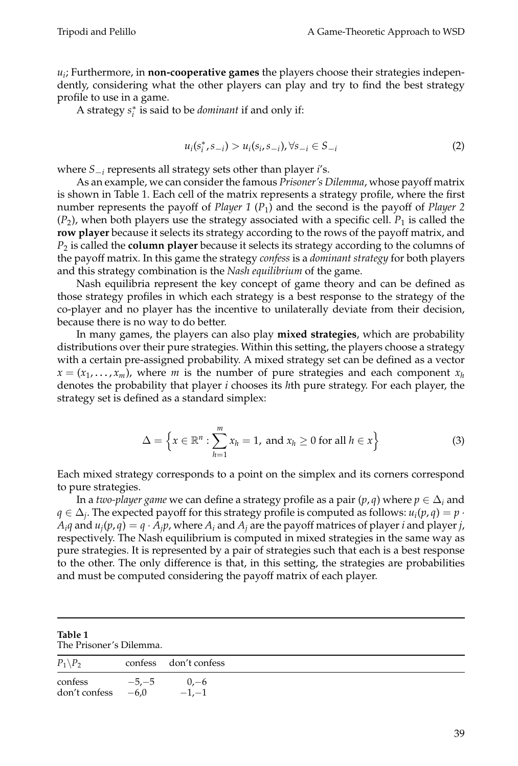*ui* ; Furthermore, in **non-cooperative games** the players choose their strategies independently, considering what the other players can play and try to find the best strategy profile to use in a game.

A strategy *s* ∗ *i* is said to be *dominant* if and only if:

$$
u_i(s_i^*, s_{-i}) > u_i(s_i, s_{-i}), \forall s_{-i} \in S_{-i}
$$
 (2)

where *S*−*<sup>i</sup>* represents all strategy sets other than player *i*'s.

As an example, we can consider the famous *Prisoner's Dilemma*, whose payoff matrix is shown in Table 1. Each cell of the matrix represents a strategy profile, where the first number represents the payoff of *Player 1* (*P*<sup>1</sup> ) and the second is the payoff of *Player 2*  $(P_2)$ , when both players use the strategy associated with a specific cell.  $P_1$  is called the **row player** because it selects its strategy according to the rows of the payoff matrix, and *P*2 is called the **column player** because it selects its strategy according to the columns of the payoff matrix. In this game the strategy *confess* is a *dominant strategy* for both players and this strategy combination is the *Nash equilibrium* of the game.

Nash equilibria represent the key concept of game theory and can be defined as those strategy profiles in which each strategy is a best response to the strategy of the co-player and no player has the incentive to unilaterally deviate from their decision, because there is no way to do better.

In many games, the players can also play **mixed strategies**, which are probability distributions over their pure strategies. Within this setting, the players choose a strategy with a certain pre-assigned probability. A mixed strategy set can be defined as a vector  $x = (x_1, \ldots, x_m)$ , where *m* is the number of pure strategies and each component  $x_h$ denotes the probability that player *i* chooses its *h*th pure strategy. For each player, the strategy set is defined as a standard simplex:

$$
\Delta = \left\{ x \in \mathbb{R}^n : \sum_{h=1}^m x_h = 1, \text{ and } x_h \ge 0 \text{ for all } h \in x \right\}
$$
 (3)

Each mixed strategy corresponds to a point on the simplex and its corners correspond to pure strategies.

In a *two-player game* we can define a strategy profile as a pair  $(p, q)$  where  $p \in \Delta_i$  and  $q \in \Delta_j$ . The expected payoff for this strategy profile is computed as follows:  $u_i(p,q) = p \cdot q$  $A_i$ *q* and  $u_j(p,q) = q \cdot A_j p$ , where  $A_i$  and  $A_j$  are the payoff matrices of player *i* and player *j*, respectively. The Nash equilibrium is computed in mixed strategies in the same way as pure strategies. It is represented by a pair of strategies such that each is a best response to the other. The only difference is that, in this setting, the strategies are probabilities and must be computed considering the payoff matrix of each player.

| Table 1<br>The Prisoner's Dilemma.      |                       |  |
|-----------------------------------------|-----------------------|--|
| $P_1 \backslash P_2$                    | confess don't confess |  |
| confess $-5,-5$<br>$don't confess -6,0$ | $0,-6$<br>$-1,-1$     |  |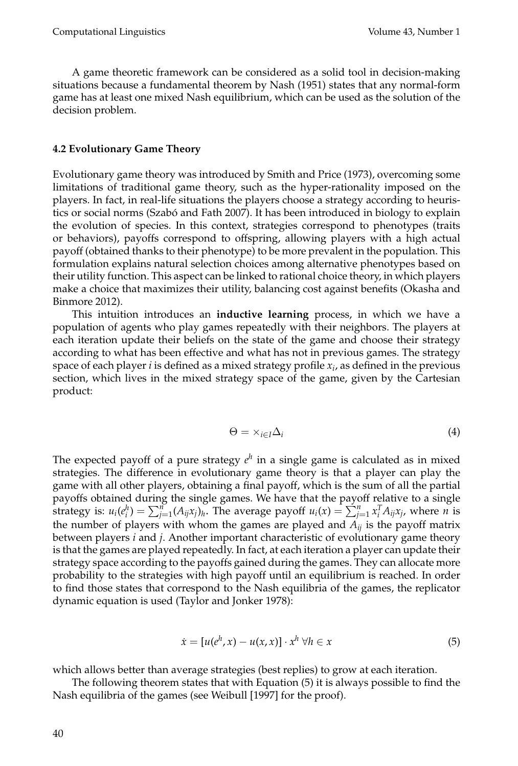A game theoretic framework can be considered as a solid tool in decision-making situations because a fundamental theorem by Nash (1951) states that any normal-form game has at least one mixed Nash equilibrium, which can be used as the solution of the decision problem.

## **4.2 Evolutionary Game Theory**

Evolutionary game theory was introduced by Smith and Price (1973), overcoming some limitations of traditional game theory, such as the hyper-rationality imposed on the players. In fact, in real-life situations the players choose a strategy according to heuristics or social norms (Szabó and Fath 2007). It has been introduced in biology to explain the evolution of species. In this context, strategies correspond to phenotypes (traits or behaviors), payoffs correspond to offspring, allowing players with a high actual payoff (obtained thanks to their phenotype) to be more prevalent in the population. This formulation explains natural selection choices among alternative phenotypes based on their utility function. This aspect can be linked to rational choice theory, in which players make a choice that maximizes their utility, balancing cost against benefits (Okasha and Binmore 2012).

This intuition introduces an **inductive learning** process, in which we have a population of agents who play games repeatedly with their neighbors. The players at each iteration update their beliefs on the state of the game and choose their strategy according to what has been effective and what has not in previous games. The strategy space of each player *i* is defined as a mixed strategy profile *x<sup>i</sup>* , as defined in the previous section, which lives in the mixed strategy space of the game, given by the Cartesian product:

$$
\Theta = \times_{i \in I} \Delta_i \tag{4}
$$

The expected payoff of a pure strategy  $e^h$  in a single game is calculated as in mixed strategies. The difference in evolutionary game theory is that a player can play the game with all other players, obtaining a final payoff, which is the sum of all the partial payoffs obtained during the single games. We have that the payoff relative to a single strategy is:  $u_i(e_i^h) = \sum_{j=1}^n (A_{ij}x_j)_h$ . The average payoff  $u_i(x) = \sum_{j=1}^n x_i^T A_{ij}x_j$ , where n is the number of players with whom the games are played and  $A_{ij}$  is the payoff matrix between players *i* and *j*. Another important characteristic of evolutionary game theory is that the games are played repeatedly. In fact, at each iteration a player can update their strategy space according to the payoffs gained during the games. They can allocate more probability to the strategies with high payoff until an equilibrium is reached. In order to find those states that correspond to the Nash equilibria of the games, the replicator dynamic equation is used (Taylor and Jonker 1978):

$$
\dot{x} = [u(e^h, x) - u(x, x)] \cdot x^h \,\forall h \in x \tag{5}
$$

which allows better than average strategies (best replies) to grow at each iteration.

The following theorem states that with Equation (5) it is always possible to find the Nash equilibria of the games (see Weibull [1997] for the proof).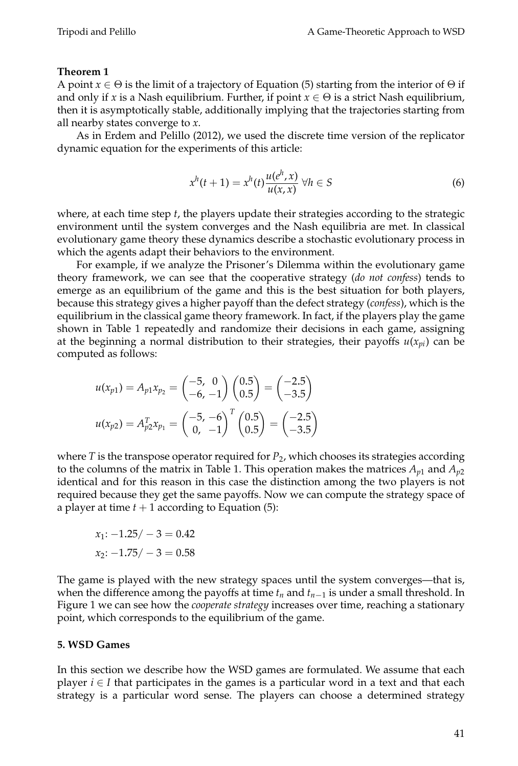#### **Theorem 1**

A point  $x \in \Theta$  is the limit of a trajectory of Equation (5) starting from the interior of  $\Theta$  if and only if *x* is a Nash equilibrium. Further, if point  $x \in \Theta$  is a strict Nash equilibrium, then it is asymptotically stable, additionally implying that the trajectories starting from all nearby states converge to *x*.

As in Erdem and Pelillo (2012), we used the discrete time version of the replicator dynamic equation for the experiments of this article:

$$
x^{h}(t+1) = x^{h}(t)\frac{u(e^{h},x)}{u(x,x)} \,\forall h \in S
$$
\n
$$
(6)
$$

where, at each time step *t*, the players update their strategies according to the strategic environment until the system converges and the Nash equilibria are met. In classical evolutionary game theory these dynamics describe a stochastic evolutionary process in which the agents adapt their behaviors to the environment.

For example, if we analyze the Prisoner's Dilemma within the evolutionary game theory framework, we can see that the cooperative strategy (*do not confess*) tends to emerge as an equilibrium of the game and this is the best situation for both players, because this strategy gives a higher payoff than the defect strategy (*confess*), which is the equilibrium in the classical game theory framework. In fact, if the players play the game shown in Table 1 repeatedly and randomize their decisions in each game, assigning at the beginning a normal distribution to their strategies, their payoffs  $u(x_{pi})$  can be computed as follows:

$$
u(x_{p1}) = A_{p1}x_{p2} = \begin{pmatrix} -5 & 0\\ -6 & -1 \end{pmatrix} \begin{pmatrix} 0.5\\ 0.5 \end{pmatrix} = \begin{pmatrix} -2.5\\ -3.5 \end{pmatrix}
$$

$$
u(x_{p2}) = A_{p2}^T x_{p1} = \begin{pmatrix} -5 & -6\\ 0 & -1 \end{pmatrix}^T \begin{pmatrix} 0.5\\ 0.5 \end{pmatrix} = \begin{pmatrix} -2.5\\ -3.5 \end{pmatrix}
$$

where *T* is the transpose operator required for *P*<sup>2</sup> , which chooses its strategies according to the columns of the matrix in Table 1. This operation makes the matrices  $A_{p1}$  and  $A_{p2}$ identical and for this reason in this case the distinction among the two players is not required because they get the same payoffs. Now we can compute the strategy space of a player at time  $t + 1$  according to Equation (5):

$$
x_1: -1.25/-3 = 0.42
$$
  

$$
x_2: -1.75/-3 = 0.58
$$

The game is played with the new strategy spaces until the system converges—that is, when the difference among the payoffs at time *t<sup>n</sup>* and *tn*−<sup>1</sup> is under a small threshold. In Figure 1 we can see how the *cooperate strategy* increases over time, reaching a stationary point, which corresponds to the equilibrium of the game.

### **5. WSD Games**

In this section we describe how the WSD games are formulated. We assume that each player *i* ∈ *I* that participates in the games is a particular word in a text and that each strategy is a particular word sense. The players can choose a determined strategy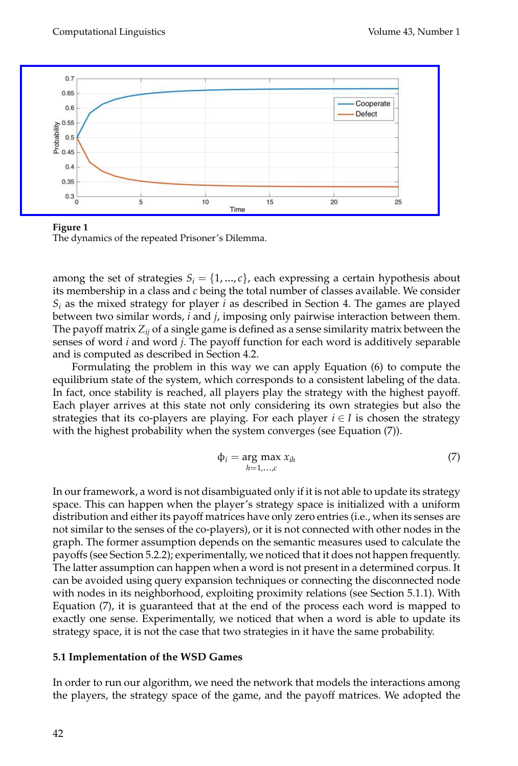



among the set of strategies  $S_i = \{1, ..., c\}$ , each expressing a certain hypothesis about its membership in a class and *c* being the total number of classes available. We consider *S<sup>i</sup>* as the mixed strategy for player *i* as described in Section 4. The games are played between two similar words, *i* and *j*, imposing only pairwise interaction between them. The payoff matrix *Zij* of a single game is defined as a sense similarity matrix between the senses of word *i* and word *j*. The payoff function for each word is additively separable and is computed as described in Section 4.2.

Formulating the problem in this way we can apply Equation (6) to compute the equilibrium state of the system, which corresponds to a consistent labeling of the data. In fact, once stability is reached, all players play the strategy with the highest payoff. Each player arrives at this state not only considering its own strategies but also the strategies that its co-players are playing. For each player  $i \in I$  is chosen the strategy with the highest probability when the system converges (see Equation (7)).

$$
\phi_i = \underset{h=1,\ldots,c}{\arg \max} \, x_{ih} \tag{7}
$$

In our framework, a word is not disambiguated only if it is not able to update its strategy space. This can happen when the player's strategy space is initialized with a uniform distribution and either its payoff matrices have only zero entries (i.e., when its senses are not similar to the senses of the co-players), or it is not connected with other nodes in the graph. The former assumption depends on the semantic measures used to calculate the payoffs (see Section 5.2.2); experimentally, we noticed that it does not happen frequently. The latter assumption can happen when a word is not present in a determined corpus. It can be avoided using query expansion techniques or connecting the disconnected node with nodes in its neighborhood, exploiting proximity relations (see Section 5.1.1). With Equation (7), it is guaranteed that at the end of the process each word is mapped to exactly one sense. Experimentally, we noticed that when a word is able to update its strategy space, it is not the case that two strategies in it have the same probability.

### **5.1 Implementation of the WSD Games**

In order to run our algorithm, we need the network that models the interactions among the players, the strategy space of the game, and the payoff matrices. We adopted the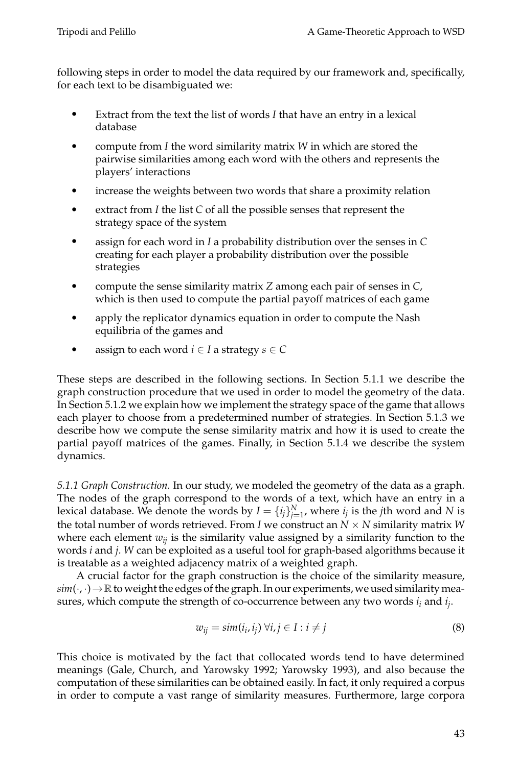following steps in order to model the data required by our framework and, specifically, for each text to be disambiguated we:

- Extract from the text the list of words *I* that have an entry in a lexical database
- r compute from *I* the word similarity matrix *W* in which are stored the pairwise similarities among each word with the others and represents the players' interactions
- r increase the weights between two words that share a proximity relation
- extract from *I* the list *C* of all the possible senses that represent the strategy space of the system
- r assign for each word in *I* a probability distribution over the senses in *C* creating for each player a probability distribution over the possible strategies
- r compute the sense similarity matrix *Z* among each pair of senses in *C*, which is then used to compute the partial payoff matrices of each game
- apply the replicator dynamics equation in order to compute the Nash equilibria of the games and
- assign to each word  $i \in I$  a strategy  $s \in C$

These steps are described in the following sections. In Section 5.1.1 we describe the graph construction procedure that we used in order to model the geometry of the data. In Section 5.1.2 we explain how we implement the strategy space of the game that allows each player to choose from a predetermined number of strategies. In Section 5.1.3 we describe how we compute the sense similarity matrix and how it is used to create the partial payoff matrices of the games. Finally, in Section 5.1.4 we describe the system dynamics.

*5.1.1 Graph Construction.* In our study, we modeled the geometry of the data as a graph. The nodes of the graph correspond to the words of a text, which have an entry in a lexical database. We denote the words by  $I = \{i_j\}_{j=1}^N$ , where  $i_j$  is the *j*th word and *N* is the total number of words retrieved. From *I* we construct an *N* × *N* similarity matrix *W* where each element  $w_{ii}$  is the similarity value assigned by a similarity function to the words *i* and *j*. *W* can be exploited as a useful tool for graph-based algorithms because it is treatable as a weighted adjacency matrix of a weighted graph.

A crucial factor for the graph construction is the choice of the similarity measure,  $\sin(\cdot, \cdot) \rightarrow \mathbb{R}$  to weight the edges of the graph. In our experiments, we used similarity measures, which compute the strength of co-occurrence between any two words *i<sup>i</sup>* and *i<sup>j</sup>* .

$$
w_{ij} = sim(i_i, i_j) \,\forall i, j \in I : i \neq j \tag{8}
$$

This choice is motivated by the fact that collocated words tend to have determined meanings (Gale, Church, and Yarowsky 1992; Yarowsky 1993), and also because the computation of these similarities can be obtained easily. In fact, it only required a corpus in order to compute a vast range of similarity measures. Furthermore, large corpora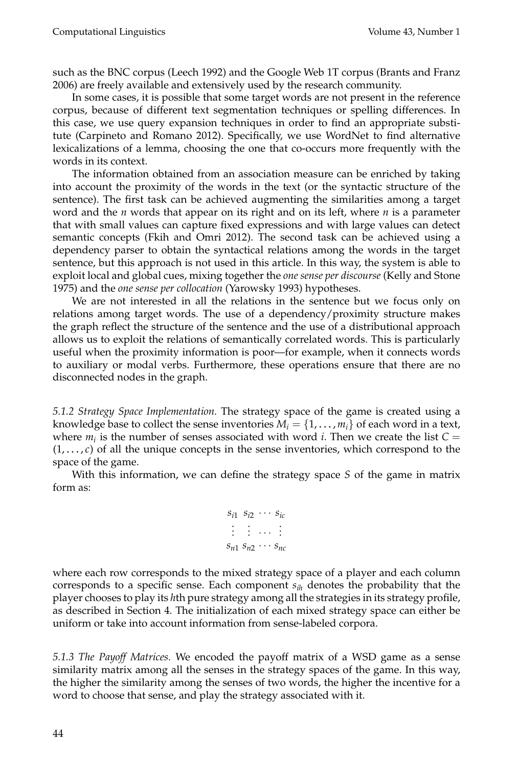such as the BNC corpus (Leech 1992) and the Google Web 1T corpus (Brants and Franz 2006) are freely available and extensively used by the research community.

In some cases, it is possible that some target words are not present in the reference corpus, because of different text segmentation techniques or spelling differences. In this case, we use query expansion techniques in order to find an appropriate substitute (Carpineto and Romano 2012). Specifically, we use WordNet to find alternative lexicalizations of a lemma, choosing the one that co-occurs more frequently with the words in its context.

The information obtained from an association measure can be enriched by taking into account the proximity of the words in the text (or the syntactic structure of the sentence). The first task can be achieved augmenting the similarities among a target word and the *n* words that appear on its right and on its left, where *n* is a parameter that with small values can capture fixed expressions and with large values can detect semantic concepts (Fkih and Omri 2012). The second task can be achieved using a dependency parser to obtain the syntactical relations among the words in the target sentence, but this approach is not used in this article. In this way, the system is able to exploit local and global cues, mixing together the *one sense per discourse* (Kelly and Stone 1975) and the *one sense per collocation* (Yarowsky 1993) hypotheses.

We are not interested in all the relations in the sentence but we focus only on relations among target words. The use of a dependency/proximity structure makes the graph reflect the structure of the sentence and the use of a distributional approach allows us to exploit the relations of semantically correlated words. This is particularly useful when the proximity information is poor—for example, when it connects words to auxiliary or modal verbs. Furthermore, these operations ensure that there are no disconnected nodes in the graph.

*5.1.2 Strategy Space Implementation.* The strategy space of the game is created using a knowledge base to collect the sense inventories  $M_i = \{1, \ldots, m_i\}$  of each word in a text, where  $m_i$  is the number of senses associated with word *i*. Then we create the list  $C =$  $(1, \ldots, c)$  of all the unique concepts in the sense inventories, which correspond to the space of the game.

With this information, we can define the strategy space *S* of the game in matrix form as:

$$
s_{i1} \ s_{i2} \ \cdots \ s_{ic}
$$
  
\n
$$
\vdots \ \vdots \ \cdots \ \vdots
$$
  
\n
$$
s_{n1} \ s_{n2} \ \cdots \ s_{nc}
$$

where each row corresponds to the mixed strategy space of a player and each column corresponds to a specific sense. Each component *sih* denotes the probability that the player chooses to play its *h*th pure strategy among all the strategies in its strategy profile, as described in Section 4. The initialization of each mixed strategy space can either be uniform or take into account information from sense-labeled corpora.

*5.1.3 The Payoff Matrices.* We encoded the payoff matrix of a WSD game as a sense similarity matrix among all the senses in the strategy spaces of the game. In this way, the higher the similarity among the senses of two words, the higher the incentive for a word to choose that sense, and play the strategy associated with it.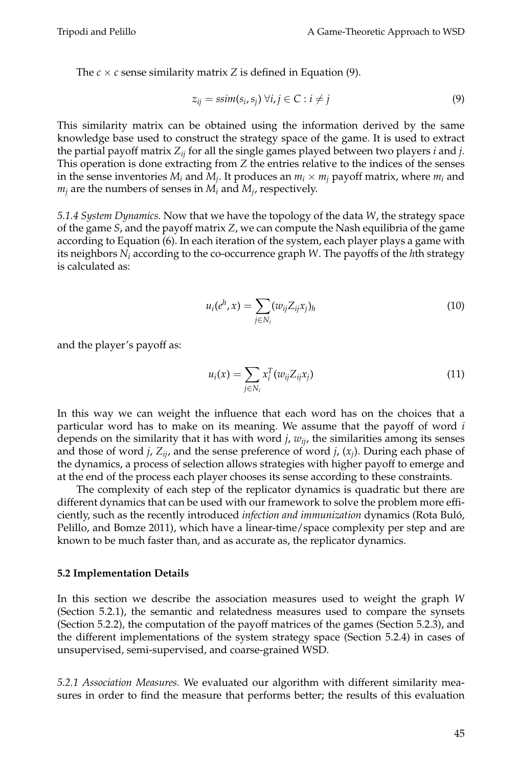The  $c \times c$  sense similarity matrix *Z* is defined in Equation (9).

$$
z_{ij} = \text{ssim}(s_i, s_j) \,\forall i, j \in \mathbb{C} : i \neq j \tag{9}
$$

This similarity matrix can be obtained using the information derived by the same knowledge base used to construct the strategy space of the game. It is used to extract the partial payoff matrix *Zij* for all the single games played between two players *i* and *j*. This operation is done extracting from *Z* the entries relative to the indices of the senses in the sense inventories  $M_i$  and  $M_j$ . It produces an  $m_i \times m_j$  payoff matrix, where  $m_i$  and  $m_j$  are the numbers of senses in  $M_i$  and  $M_j$ , respectively.

*5.1.4 System Dynamics.* Now that we have the topology of the data *W*, the strategy space of the game *S*, and the payoff matrix *Z*, we can compute the Nash equilibria of the game according to Equation (6). In each iteration of the system, each player plays a game with its neighbors *N<sup>i</sup>* according to the co-occurrence graph *W*. The payoffs of the *h*th strategy is calculated as:

$$
u_i(e^h, x) = \sum_{j \in N_i} (w_{ij} Z_{ij} x_j)_h
$$
\n
$$
(10)
$$

and the player's payoff as:

$$
u_i(x) = \sum_{j \in N_i} x_i^T(w_{ij} Z_{ij} x_j)
$$
\n(11)

In this way we can weight the influence that each word has on the choices that a particular word has to make on its meaning. We assume that the payoff of word *i* depends on the similarity that it has with word *j*, *wij*, the similarities among its senses and those of word *j*, *Zij*, and the sense preference of word *j*, (*x<sup>j</sup>* ). During each phase of the dynamics, a process of selection allows strategies with higher payoff to emerge and at the end of the process each player chooses its sense according to these constraints.

The complexity of each step of the replicator dynamics is quadratic but there are different dynamics that can be used with our framework to solve the problem more efficiently, such as the recently introduced *infection and immunization* dynamics (Rota Bulo, ´ Pelillo, and Bomze 2011), which have a linear-time/space complexity per step and are known to be much faster than, and as accurate as, the replicator dynamics.

#### **5.2 Implementation Details**

In this section we describe the association measures used to weight the graph *W* (Section 5.2.1), the semantic and relatedness measures used to compare the synsets (Section 5.2.2), the computation of the payoff matrices of the games (Section 5.2.3), and the different implementations of the system strategy space (Section 5.2.4) in cases of unsupervised, semi-supervised, and coarse-grained WSD.

*5.2.1 Association Measures.* We evaluated our algorithm with different similarity measures in order to find the measure that performs better; the results of this evaluation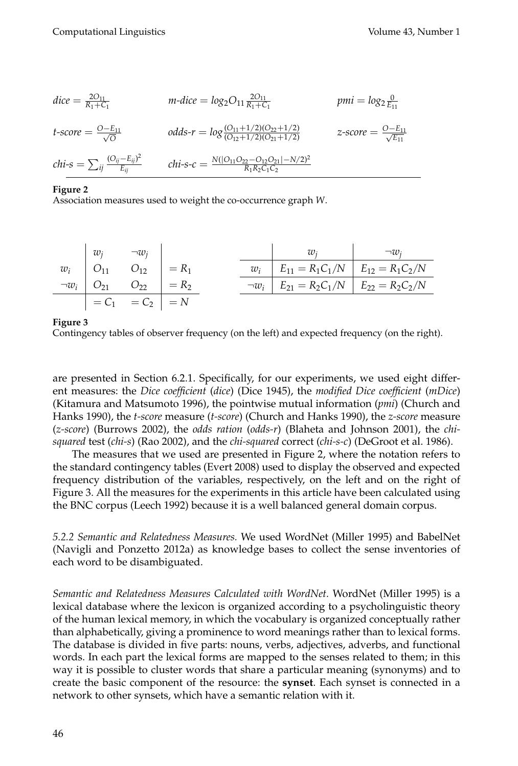$$
dice = \frac{2O_{11}}{R_1 + C_1} \qquad m \text{-} dice = \log_2 O_{11} \frac{2O_{11}}{R_1 + C_1} \qquad pmi = \log_2 \frac{0}{E_{11}}
$$
\n
$$
t\text{-}score = \frac{O - E_{11}}{\sqrt{O}} \qquad odds\text{-}r = \log \frac{(O_{11} + 1/2)(O_{22} + 1/2)}{(O_{12} + 1/2)(O_{21} + 1/2)} \qquad z\text{-}score = \frac{O - E_{11}}{\sqrt{E_{11}}}
$$
\n
$$
chi\text{-}s = \sum_{ij} \frac{(O_{ij} - E_{ij})^2}{E_{ij}} \qquad chi\text{-}s\text{-}c = \frac{N(|O_{11}O_{22} - O_{12}O_{21}| - N/2)^2}{R_1R_2C_1C_2}
$$

Association measures used to weight the co-occurrence graph *W*.

|  | $ w_j - w_j $                                                                                                                                                     |  | $w_i$ $\neg w_i$                                         |  |
|--|-------------------------------------------------------------------------------------------------------------------------------------------------------------------|--|----------------------------------------------------------|--|
|  | $w_i$ $\begin{vmatrix} w_1 & w_1 \\ 0 & 11 & 0 \\ 0 & 0 & 0 \end{vmatrix} = R_1$<br>$-w_i$ $\begin{vmatrix} w_1 & w_1 \\ 0 & 12 \\ 0 & 0 & 0 \end{vmatrix} = R_2$ |  | $w_i$   $E_{11} = R_1 C_1/N$   $E_{12} = R_1 C_2/N$      |  |
|  |                                                                                                                                                                   |  | $\neg w_i$   $E_{21} = R_2 C_1/N$   $E_{22} = R_2 C_2/N$ |  |
|  | $\Big  = C_1 \quad = C_2 \Big  = N$                                                                                                                               |  |                                                          |  |

#### **Figure 3**

Contingency tables of observer frequency (on the left) and expected frequency (on the right).

are presented in Section 6.2.1. Specifically, for our experiments, we used eight different measures: the *Dice coefficient* (*dice*) (Dice 1945), the *modified Dice coefficient* (*mDice*) (Kitamura and Matsumoto 1996), the pointwise mutual information (*pmi*) (Church and Hanks 1990), the *t-score* measure (*t-score*) (Church and Hanks 1990), the *z-score* measure (*z-score*) (Burrows 2002), the *odds ration* (*odds-r*) (Blaheta and Johnson 2001), the *chisquared* test (*chi-s*) (Rao 2002), and the *chi-squared* correct (*chi-s-c*) (DeGroot et al. 1986).

The measures that we used are presented in Figure 2, where the notation refers to the standard contingency tables (Evert 2008) used to display the observed and expected frequency distribution of the variables, respectively, on the left and on the right of Figure 3. All the measures for the experiments in this article have been calculated using the BNC corpus (Leech 1992) because it is a well balanced general domain corpus.

*5.2.2 Semantic and Relatedness Measures.* We used WordNet (Miller 1995) and BabelNet (Navigli and Ponzetto 2012a) as knowledge bases to collect the sense inventories of each word to be disambiguated.

*Semantic and Relatedness Measures Calculated with WordNet.* WordNet (Miller 1995) is a lexical database where the lexicon is organized according to a psycholinguistic theory of the human lexical memory, in which the vocabulary is organized conceptually rather than alphabetically, giving a prominence to word meanings rather than to lexical forms. The database is divided in five parts: nouns, verbs, adjectives, adverbs, and functional words. In each part the lexical forms are mapped to the senses related to them; in this way it is possible to cluster words that share a particular meaning (synonyms) and to create the basic component of the resource: the **synset**. Each synset is connected in a network to other synsets, which have a semantic relation with it.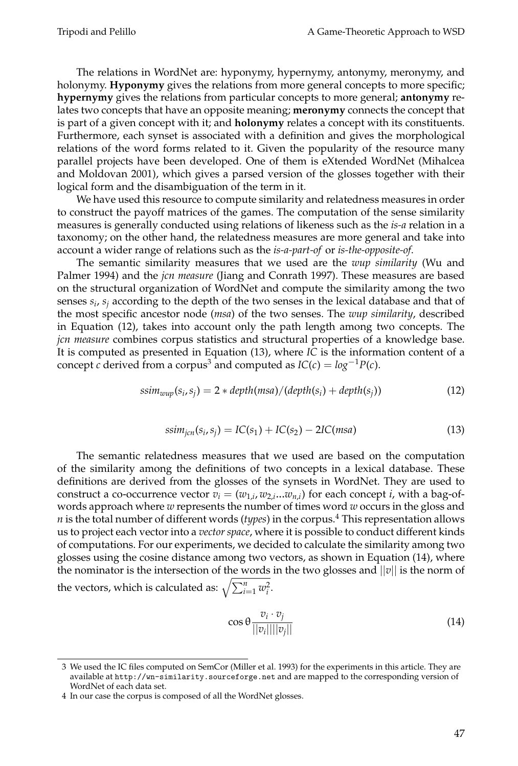The relations in WordNet are: hyponymy, hypernymy, antonymy, meronymy, and holonymy. **Hyponymy** gives the relations from more general concepts to more specific; **hypernymy** gives the relations from particular concepts to more general; **antonymy** relates two concepts that have an opposite meaning; **meronymy** connects the concept that is part of a given concept with it; and **holonymy** relates a concept with its constituents. Furthermore, each synset is associated with a definition and gives the morphological relations of the word forms related to it. Given the popularity of the resource many parallel projects have been developed. One of them is eXtended WordNet (Mihalcea and Moldovan 2001), which gives a parsed version of the glosses together with their logical form and the disambiguation of the term in it.

We have used this resource to compute similarity and relatedness measures in order to construct the payoff matrices of the games. The computation of the sense similarity measures is generally conducted using relations of likeness such as the *is-a* relation in a taxonomy; on the other hand, the relatedness measures are more general and take into account a wider range of relations such as the *is-a-part-of* or *is-the-opposite-of*.

The semantic similarity measures that we used are the *wup similarity* (Wu and Palmer 1994) and the *jcn measure* (Jiang and Conrath 1997). These measures are based on the structural organization of WordNet and compute the similarity among the two senses *s<sup>i</sup>* , *s<sup>j</sup>* according to the depth of the two senses in the lexical database and that of the most specific ancestor node (*msa*) of the two senses. The *wup similarity*, described in Equation (12), takes into account only the path length among two concepts. The *jcn measure* combines corpus statistics and structural properties of a knowledge base. It is computed as presented in Equation (13), where *IC* is the information content of a concept *c* derived from a corpus<sup>3</sup> and computed as  $IC(c) = log^{-1}P(c)$ .

$$
ssim_{wup}(s_i, s_j) = 2 * depth(msa)/(depth(s_i) + depth(s_j))
$$
\n(12)

$$
ssim_{jcn}(s_i, s_j) = IC(s_1) + IC(s_2) - 2IC(msa)
$$
\n(13)

The semantic relatedness measures that we used are based on the computation of the similarity among the definitions of two concepts in a lexical database. These definitions are derived from the glosses of the synsets in WordNet. They are used to construct a co-occurrence vector  $v_i = (w_{1,i}, w_{2,i}...w_{n,i})$  for each concept *i*, with a bag-ofwords approach where *w* represents the number of times word *w* occurs in the gloss and  $n$  is the total number of different words ( $t$ *ypes*) in the corpus.<sup>4</sup> This representation allows us to project each vector into a *vector space*, where it is possible to conduct different kinds of computations. For our experiments, we decided to calculate the similarity among two glosses using the cosine distance among two vectors, as shown in Equation (14), where the nominator is the intersection of the words in the two glosses and ||*v*|| is the norm of the vectors, which is calculated as:  $\sqrt{\sum_{i=1}^n w_i^2}.$ 

$$
\cos \theta \frac{v_i \cdot v_j}{||v_i|| ||v_j||}
$$
\n(14)

<sup>3</sup> We used the IC files computed on SemCor (Miller et al. 1993) for the experiments in this article. They are available at http://wn-similarity.sourceforge.net and are mapped to the corresponding version of WordNet of each data set.

<sup>4</sup> In our case the corpus is composed of all the WordNet glosses.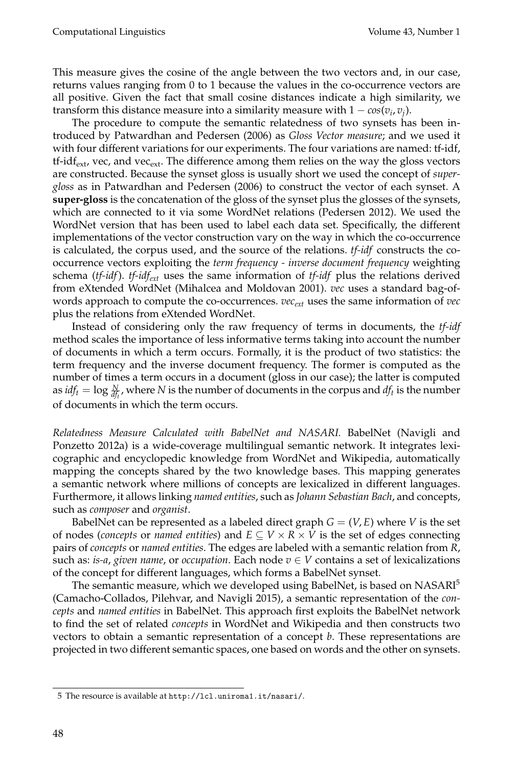This measure gives the cosine of the angle between the two vectors and, in our case, returns values ranging from 0 to 1 because the values in the co-occurrence vectors are all positive. Given the fact that small cosine distances indicate a high similarity, we transform this distance measure into a similarity measure with  $1 - cos(v_i, v_j)$ .

The procedure to compute the semantic relatedness of two synsets has been introduced by Patwardhan and Pedersen (2006) as *Gloss Vector measure*; and we used it with four different variations for our experiments. The four variations are named: tf-idf,  $t f - idf<sub>ext</sub>$ , vec, and vec<sub>ext</sub>. The difference among them relies on the way the gloss vectors are constructed. Because the synset gloss is usually short we used the concept of *supergloss* as in Patwardhan and Pedersen (2006) to construct the vector of each synset. A **super-gloss** is the concatenation of the gloss of the synset plus the glosses of the synsets, which are connected to it via some WordNet relations (Pedersen 2012). We used the WordNet version that has been used to label each data set. Specifically, the different implementations of the vector construction vary on the way in which the co-occurrence is calculated, the corpus used, and the source of the relations. *tf-idf* constructs the cooccurrence vectors exploiting the *term frequency - inverse document frequency* weighting schema (*tf-idf*). *tf-idfext* uses the same information of *tf-idf* plus the relations derived from eXtended WordNet (Mihalcea and Moldovan 2001). *vec* uses a standard bag-ofwords approach to compute the co-occurrences. *vecext* uses the same information of *vec* plus the relations from eXtended WordNet.

Instead of considering only the raw frequency of terms in documents, the *tf-idf* method scales the importance of less informative terms taking into account the number of documents in which a term occurs. Formally, it is the product of two statistics: the term frequency and the inverse document frequency. The former is computed as the number of times a term occurs in a document (gloss in our case); the latter is computed as  $\mathit{idf}_t = \log \frac{N}{df_t}$ , where N is the number of documents in the corpus and  $df_t$  is the number of documents in which the term occurs.

*Relatedness Measure Calculated with BabelNet and NASARI.* BabelNet (Navigli and Ponzetto 2012a) is a wide-coverage multilingual semantic network. It integrates lexicographic and encyclopedic knowledge from WordNet and Wikipedia, automatically mapping the concepts shared by the two knowledge bases. This mapping generates a semantic network where millions of concepts are lexicalized in different languages. Furthermore, it allows linking *named entities*, such as *Johann Sebastian Bach*, and concepts, such as *composer* and *organist*.

BabelNet can be represented as a labeled direct graph  $G = (V, E)$  where V is the set of nodes (*concepts* or *named entities*) and  $E \subseteq V \times R \times V$  is the set of edges connecting pairs of *concepts* or *named entities*. The edges are labeled with a semantic relation from *R*, such as: *is-a*, *given name*, or *occupation*. Each node  $v \in V$  contains a set of lexicalizations of the concept for different languages, which forms a BabelNet synset.

The semantic measure, which we developed using BabelNet, is based on NASARI<sup>5</sup> (Camacho-Collados, Pilehvar, and Navigli 2015), a semantic representation of the *concepts* and *named entities* in BabelNet. This approach first exploits the BabelNet network to find the set of related *concepts* in WordNet and Wikipedia and then constructs two vectors to obtain a semantic representation of a concept *b*. These representations are projected in two different semantic spaces, one based on words and the other on synsets.

<sup>5</sup> The resource is available at http://lcl.uniroma1.it/nasari/.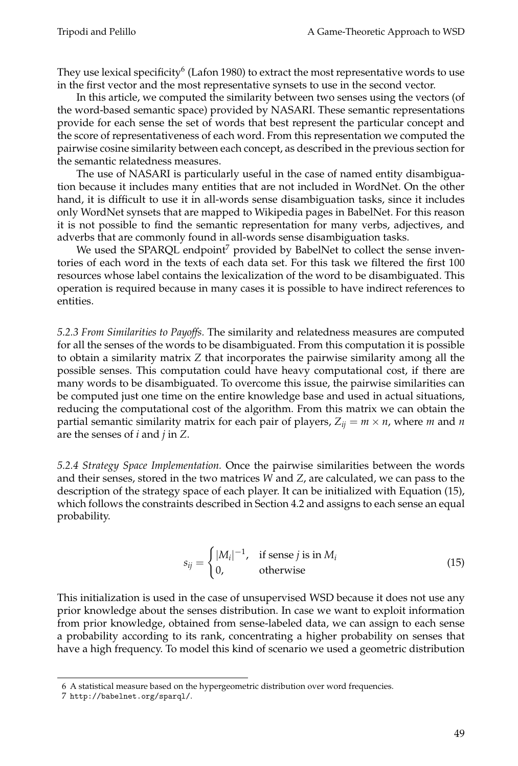They use lexical specificity $^6$  (Lafon 1980) to extract the most representative words to use in the first vector and the most representative synsets to use in the second vector.

In this article, we computed the similarity between two senses using the vectors (of the word-based semantic space) provided by NASARI. These semantic representations provide for each sense the set of words that best represent the particular concept and the score of representativeness of each word. From this representation we computed the pairwise cosine similarity between each concept, as described in the previous section for the semantic relatedness measures.

The use of NASARI is particularly useful in the case of named entity disambiguation because it includes many entities that are not included in WordNet. On the other hand, it is difficult to use it in all-words sense disambiguation tasks, since it includes only WordNet synsets that are mapped to Wikipedia pages in BabelNet. For this reason it is not possible to find the semantic representation for many verbs, adjectives, and adverbs that are commonly found in all-words sense disambiguation tasks.

We used the SPARQL endpoint<sup>7</sup> provided by BabelNet to collect the sense inventories of each word in the texts of each data set. For this task we filtered the first 100 resources whose label contains the lexicalization of the word to be disambiguated. This operation is required because in many cases it is possible to have indirect references to entities.

*5.2.3 From Similarities to Payoffs.* The similarity and relatedness measures are computed for all the senses of the words to be disambiguated. From this computation it is possible to obtain a similarity matrix *Z* that incorporates the pairwise similarity among all the possible senses. This computation could have heavy computational cost, if there are many words to be disambiguated. To overcome this issue, the pairwise similarities can be computed just one time on the entire knowledge base and used in actual situations, reducing the computational cost of the algorithm. From this matrix we can obtain the partial semantic similarity matrix for each pair of players,  $Z_{ij} = m \times n$ , where *m* and *n* are the senses of *i* and *j* in *Z*.

*5.2.4 Strategy Space Implementation.* Once the pairwise similarities between the words and their senses, stored in the two matrices *W* and *Z*, are calculated, we can pass to the description of the strategy space of each player. It can be initialized with Equation (15), which follows the constraints described in Section 4.2 and assigns to each sense an equal probability.

$$
s_{ij} = \begin{cases} |M_i|^{-1}, & \text{if sense } j \text{ is in } M_i \\ 0, & \text{otherwise} \end{cases}
$$
 (15)

This initialization is used in the case of unsupervised WSD because it does not use any prior knowledge about the senses distribution. In case we want to exploit information from prior knowledge, obtained from sense-labeled data, we can assign to each sense a probability according to its rank, concentrating a higher probability on senses that have a high frequency. To model this kind of scenario we used a geometric distribution

<sup>6</sup> A statistical measure based on the hypergeometric distribution over word frequencies.

<sup>7</sup> http://babelnet.org/sparql/.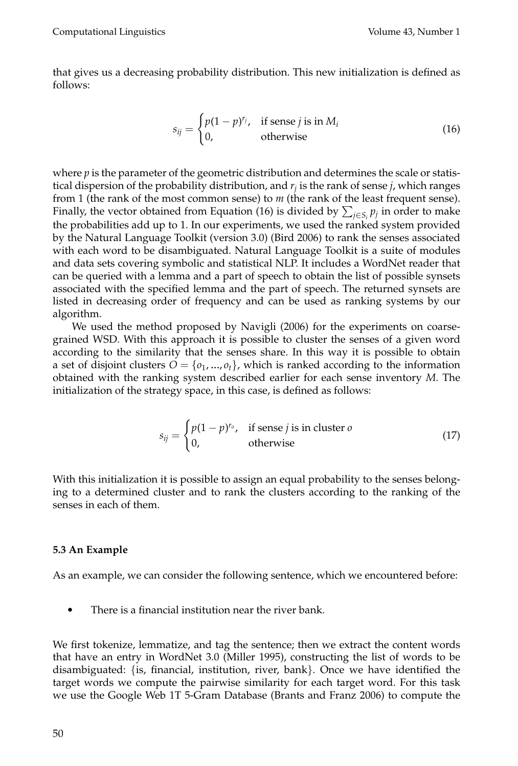that gives us a decreasing probability distribution. This new initialization is defined as follows:

$$
s_{ij} = \begin{cases} p(1-p)^{r_j}, & \text{if sense } j \text{ is in } M_i \\ 0, & \text{otherwise} \end{cases}
$$
 (16)

where *p* is the parameter of the geometric distribution and determines the scale or statistical dispersion of the probability distribution, and *r<sup>j</sup>* is the rank of sense *j*, which ranges from 1 (the rank of the most common sense) to *m* (the rank of the least frequent sense). Finally, the vector obtained from Equation (16) is divided by  $\sum_{j \in S_i} p_j$  in order to make the probabilities add up to 1. In our experiments, we used the ranked system provided by the Natural Language Toolkit (version 3.0) (Bird 2006) to rank the senses associated with each word to be disambiguated. Natural Language Toolkit is a suite of modules and data sets covering symbolic and statistical NLP. It includes a WordNet reader that can be queried with a lemma and a part of speech to obtain the list of possible synsets associated with the specified lemma and the part of speech. The returned synsets are listed in decreasing order of frequency and can be used as ranking systems by our algorithm.

We used the method proposed by Navigli (2006) for the experiments on coarsegrained WSD. With this approach it is possible to cluster the senses of a given word according to the similarity that the senses share. In this way it is possible to obtain a set of disjoint clusters  $O = \{o_1, ..., o_t\}$ , which is ranked according to the information obtained with the ranking system described earlier for each sense inventory *M*. The initialization of the strategy space, in this case, is defined as follows:

$$
s_{ij} = \begin{cases} p(1-p)^{r_o}, & \text{if sense } j \text{ is in cluster } o \\ 0, & \text{otherwise} \end{cases}
$$
 (17)

With this initialization it is possible to assign an equal probability to the senses belonging to a determined cluster and to rank the clusters according to the ranking of the senses in each of them.

### **5.3 An Example**

As an example, we can consider the following sentence, which we encountered before:

 $\bullet$  There is a financial institution near the river bank.

We first tokenize, lemmatize, and tag the sentence; then we extract the content words that have an entry in WordNet 3.0 (Miller 1995), constructing the list of words to be disambiguated: {is, financial, institution, river, bank}. Once we have identified the target words we compute the pairwise similarity for each target word. For this task we use the Google Web 1T 5-Gram Database (Brants and Franz 2006) to compute the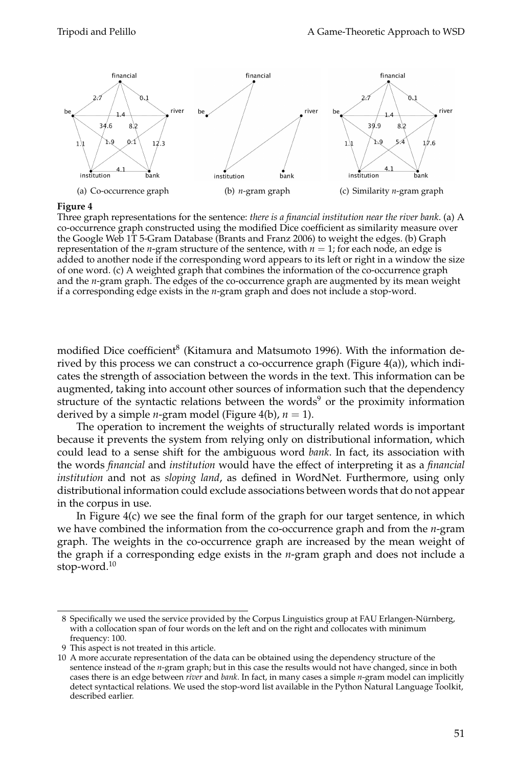

Three graph representations for the sentence: *there is a financial institution near the river bank*. (a) A co-occurrence graph constructed using the modified Dice coefficient as similarity measure over the Google Web 1T 5-Gram Database (Brants and Franz 2006) to weight the edges. (b) Graph representation of the *n*-gram structure of the sentence, with *n* = 1; for each node, an edge is added to another node if the corresponding word appears to its left or right in a window the size of one word. (c) A weighted graph that combines the information of the co-occurrence graph and the *n*-gram graph. The edges of the co-occurrence graph are augmented by its mean weight if a corresponding edge exists in the *n*-gram graph and does not include a stop-word.

modified Dice coefficient<sup>8</sup> (Kitamura and Matsumoto 1996). With the information derived by this process we can construct a co-occurrence graph (Figure 4(a)), which indicates the strength of association between the words in the text. This information can be augmented, taking into account other sources of information such that the dependency structure of the syntactic relations between the words<sup>9</sup> or the proximity information derived by a simple *n*-gram model (Figure 4(b),  $n = 1$ ).

The operation to increment the weights of structurally related words is important because it prevents the system from relying only on distributional information, which could lead to a sense shift for the ambiguous word *bank*. In fact, its association with the words *financial* and *institution* would have the effect of interpreting it as a *financial institution* and not as *sloping land*, as defined in WordNet. Furthermore, using only distributional information could exclude associations between words that do not appear in the corpus in use.

In Figure 4(c) we see the final form of the graph for our target sentence, in which we have combined the information from the co-occurrence graph and from the *n*-gram graph. The weights in the co-occurrence graph are increased by the mean weight of the graph if a corresponding edge exists in the *n*-gram graph and does not include a stop-word.<sup>10</sup>

<sup>8</sup> Specifically we used the service provided by the Corpus Linguistics group at FAU Erlangen-Nürnberg, with a collocation span of four words on the left and on the right and collocates with minimum frequency: 100.

<sup>9</sup> This aspect is not treated in this article.

<sup>10</sup> A more accurate representation of the data can be obtained using the dependency structure of the sentence instead of the *n*-gram graph; but in this case the results would not have changed, since in both cases there is an edge between *river* and *bank*. In fact, in many cases a simple *n*-gram model can implicitly detect syntactical relations. We used the stop-word list available in the Python Natural Language Toolkit, described earlier.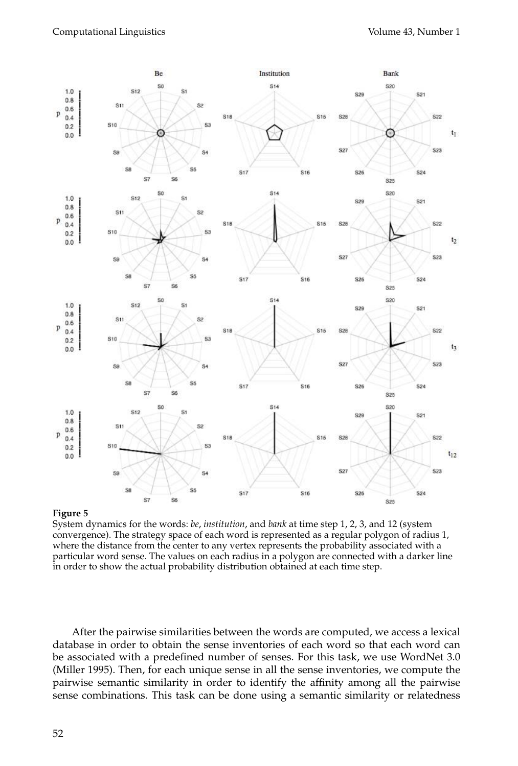

System dynamics for the words: *be*, *institution*, and *bank* at time step 1, 2, 3, and 12 (system convergence). The strategy space of each word is represented as a regular polygon of radius 1, where the distance from the center to any vertex represents the probability associated with a particular word sense. The values on each radius in a polygon are connected with a darker line in order to show the actual probability distribution obtained at each time step.

After the pairwise similarities between the words are computed, we access a lexical database in order to obtain the sense inventories of each word so that each word can be associated with a predefined number of senses. For this task, we use WordNet 3.0 (Miller 1995). Then, for each unique sense in all the sense inventories, we compute the pairwise semantic similarity in order to identify the affinity among all the pairwise sense combinations. This task can be done using a semantic similarity or relatedness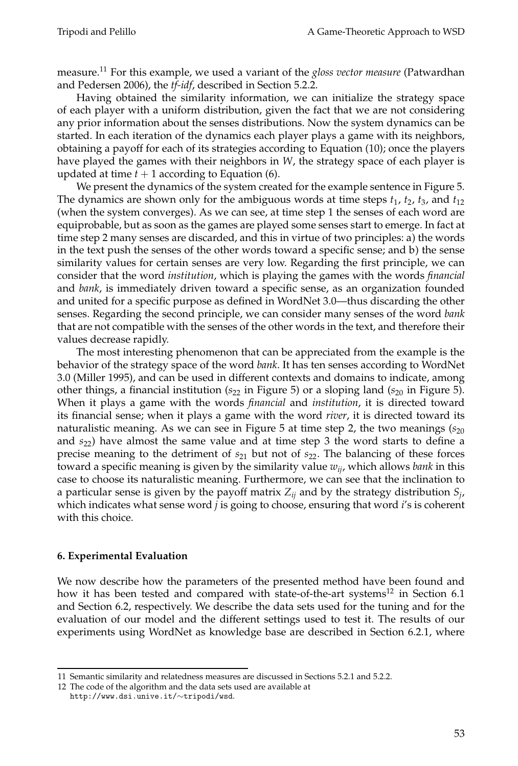measure.<sup>11</sup> For this example, we used a variant of the *gloss vector measure* (Patwardhan and Pedersen 2006), the *tf-idf*, described in Section 5.2.2.

Having obtained the similarity information, we can initialize the strategy space of each player with a uniform distribution, given the fact that we are not considering any prior information about the senses distributions. Now the system dynamics can be started. In each iteration of the dynamics each player plays a game with its neighbors, obtaining a payoff for each of its strategies according to Equation (10); once the players have played the games with their neighbors in *W*, the strategy space of each player is updated at time  $t + 1$  according to Equation (6).

We present the dynamics of the system created for the example sentence in Figure 5. The dynamics are shown only for the ambiguous words at time steps  $t_1$ ,  $t_2$ ,  $t_3$ , and  $t_{12}$ (when the system converges). As we can see, at time step 1 the senses of each word are equiprobable, but as soon as the games are played some senses start to emerge. In fact at time step 2 many senses are discarded, and this in virtue of two principles: a) the words in the text push the senses of the other words toward a specific sense; and b) the sense similarity values for certain senses are very low. Regarding the first principle, we can consider that the word *institution*, which is playing the games with the words *financial* and *bank*, is immediately driven toward a specific sense, as an organization founded and united for a specific purpose as defined in WordNet 3.0—thus discarding the other senses. Regarding the second principle, we can consider many senses of the word *bank* that are not compatible with the senses of the other words in the text, and therefore their values decrease rapidly.

The most interesting phenomenon that can be appreciated from the example is the behavior of the strategy space of the word *bank*. It has ten senses according to WordNet 3.0 (Miller 1995), and can be used in different contexts and domains to indicate, among other things, a financial institution ( $s_{22}$  in Figure 5) or a sloping land ( $s_{20}$  in Figure 5). When it plays a game with the words *financial* and *institution*, it is directed toward its financial sense; when it plays a game with the word *river*, it is directed toward its naturalistic meaning. As we can see in Figure 5 at time step 2, the two meanings ( $s_{20}$ ) and *s*22) have almost the same value and at time step 3 the word starts to define a precise meaning to the detriment of  $s_{21}$  but not of  $s_{22}$ . The balancing of these forces toward a specific meaning is given by the similarity value *wij*, which allows *bank* in this case to choose its naturalistic meaning. Furthermore, we can see that the inclination to a particular sense is given by the payoff matrix *Zij* and by the strategy distribution *S<sup>j</sup>* , which indicates what sense word *j* is going to choose, ensuring that word *i*'s is coherent with this choice.

### **6. Experimental Evaluation**

We now describe how the parameters of the presented method have been found and how it has been tested and compared with state-of-the-art systems<sup>12</sup> in Section 6.1 and Section 6.2, respectively. We describe the data sets used for the tuning and for the evaluation of our model and the different settings used to test it. The results of our experiments using WordNet as knowledge base are described in Section 6.2.1, where

<sup>11</sup> Semantic similarity and relatedness measures are discussed in Sections 5.2.1 and 5.2.2.

<sup>12</sup> The code of the algorithm and the data sets used are available at http://www.dsi.unive.it/∼tripodi/wsd.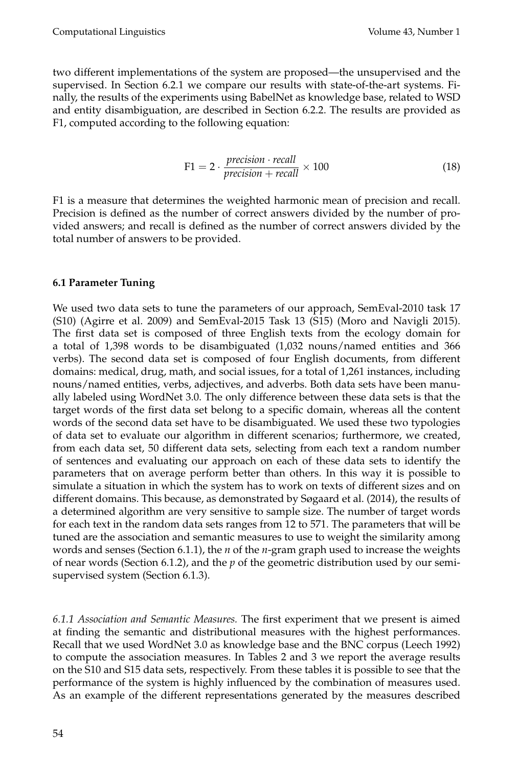two different implementations of the system are proposed—the unsupervised and the supervised. In Section 6.2.1 we compare our results with state-of-the-art systems. Finally, the results of the experiments using BabelNet as knowledge base, related to WSD and entity disambiguation, are described in Section 6.2.2. The results are provided as F1, computed according to the following equation:

$$
F1 = 2 \cdot \frac{precision \cdot recall}{precision + recall} \times 100 \tag{18}
$$

F1 is a measure that determines the weighted harmonic mean of precision and recall. Precision is defined as the number of correct answers divided by the number of provided answers; and recall is defined as the number of correct answers divided by the total number of answers to be provided.

### **6.1 Parameter Tuning**

We used two data sets to tune the parameters of our approach, SemEval-2010 task 17 (S10) (Agirre et al. 2009) and SemEval-2015 Task 13 (S15) (Moro and Navigli 2015). The first data set is composed of three English texts from the ecology domain for a total of 1,398 words to be disambiguated (1,032 nouns/named entities and 366 verbs). The second data set is composed of four English documents, from different domains: medical, drug, math, and social issues, for a total of 1,261 instances, including nouns/named entities, verbs, adjectives, and adverbs. Both data sets have been manually labeled using WordNet 3.0. The only difference between these data sets is that the target words of the first data set belong to a specific domain, whereas all the content words of the second data set have to be disambiguated. We used these two typologies of data set to evaluate our algorithm in different scenarios; furthermore, we created, from each data set, 50 different data sets, selecting from each text a random number of sentences and evaluating our approach on each of these data sets to identify the parameters that on average perform better than others. In this way it is possible to simulate a situation in which the system has to work on texts of different sizes and on different domains. This because, as demonstrated by Søgaard et al. (2014), the results of a determined algorithm are very sensitive to sample size. The number of target words for each text in the random data sets ranges from 12 to 571. The parameters that will be tuned are the association and semantic measures to use to weight the similarity among words and senses (Section 6.1.1), the *n* of the *n*-gram graph used to increase the weights of near words (Section 6.1.2), and the *p* of the geometric distribution used by our semisupervised system (Section 6.1.3).

*6.1.1 Association and Semantic Measures.* The first experiment that we present is aimed at finding the semantic and distributional measures with the highest performances. Recall that we used WordNet 3.0 as knowledge base and the BNC corpus (Leech 1992) to compute the association measures. In Tables 2 and 3 we report the average results on the S10 and S15 data sets, respectively. From these tables it is possible to see that the performance of the system is highly influenced by the combination of measures used. As an example of the different representations generated by the measures described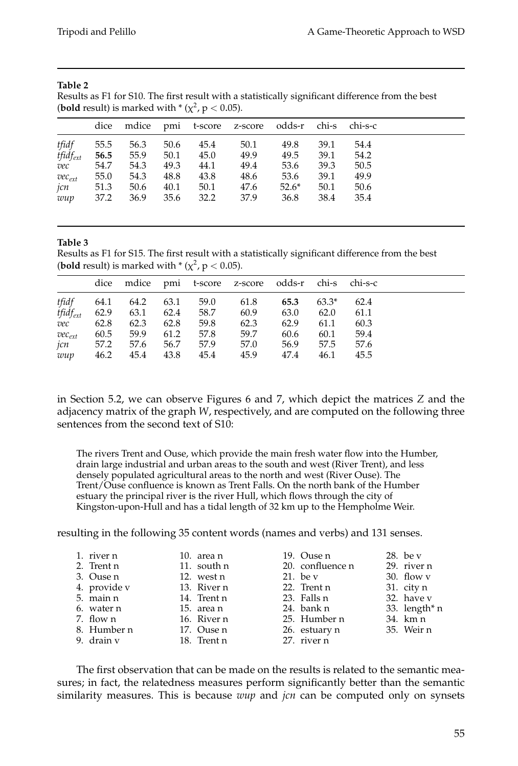### **Table 2**

Results as F1 for S10. The first result with a statistically significant difference from the best (**bold** result) is marked with  $*(\chi^2, p < 0.05)$ .

| 55.5 | 56.3 | 50.6 | 45.4 | 50.1 | 49.8    | 39.1 | 54.4 |                                                     |
|------|------|------|------|------|---------|------|------|-----------------------------------------------------|
|      | 55.9 | 50.1 | 45.0 | 49.9 | 49.5    | 39.1 | 54.2 |                                                     |
| 54.7 | 54.3 | 49.3 | 44.1 | 49.4 | 53.6    | 39.3 | 50.5 |                                                     |
| 55.0 | 54.3 | 48.8 | 43.8 | 48.6 | 53.6    | 39.1 | 49.9 |                                                     |
| 51.3 | 50.6 | 40.1 | 50.1 | 47.6 | $52.6*$ | 50.1 | 50.6 |                                                     |
| 37.2 | 36.9 | 35.6 | 32.2 | 37.9 | 36.8    | 38.4 | 35.4 |                                                     |
|      |      | 56.5 |      |      |         |      |      | dice mdice pmi t-score z-score odds-r chi-s chi-s-c |

#### **Table 3**

Results as F1 for S15. The first result with a statistically significant difference from the best (**bold** result) is marked with  $*(\chi^2, p < 0.05)$ .

|               |      |           |      |      | dice mdice pmi t-score z-score odds-r chi-s chi-s-c |      |         |      |  |
|---------------|------|-----------|------|------|-----------------------------------------------------|------|---------|------|--|
| tfidf         | 64.1 | 64.2      | 63.1 | 59.0 | 61.8                                                | 65.3 | $63.3*$ | 62.4 |  |
| $tfidf_{ext}$ |      | 62.9 63.1 | 62.4 | 58.7 | 60.9                                                | 63.0 | 62.0    | 61.1 |  |
| vec           | 62.8 | 62.3      | 62.8 | 59.8 | 62.3                                                | 62.9 | 61.1    | 60.3 |  |
| $vec_{ext}$   | 60.5 | 59.9      | 61.2 | 57.8 | 59.7                                                | 60.6 | 60.1    | 59.4 |  |
| јсп 57.2      |      | 57.6      | 56.7 | 57.9 | 57.0                                                | 56.9 | 57.5    | 57.6 |  |
| wup           | 46.2 | 45.4      | 43.8 | 45.4 | 45.9                                                | 47.4 | 46.1    | 45.5 |  |

in Section 5.2, we can observe Figures 6 and 7, which depict the matrices *Z* and the adjacency matrix of the graph *W*, respectively, and are computed on the following three sentences from the second text of S10:

The rivers Trent and Ouse, which provide the main fresh water flow into the Humber, drain large industrial and urban areas to the south and west (River Trent), and less densely populated agricultural areas to the north and west (River Ouse). The Trent/Ouse confluence is known as Trent Falls. On the north bank of the Humber estuary the principal river is the river Hull, which flows through the city of Kingston-upon-Hull and has a tidal length of 32 km up to the Hempholme Weir.

resulting in the following 35 content words (names and verbs) and 131 senses.

| 1. river n   | 10. area $n$ | 19. Ouse n       | 28. be $v$    |
|--------------|--------------|------------------|---------------|
| 2. Trent n   | 11. south n  | 20. confluence n | 29. river n   |
| 3. Ouse n    | 12. west n   | 21. be $v$       | $30.$ flow v  |
| 4. provide v | 13. River n  | 22. Trent n      | 31. city n    |
| 5. main n    | 14. Trent n  | 23. Falls n      | $32.$ have v  |
| 6. water n   | 15. area n   | 24. bank n       | 33. length* n |
| 7. flow n    | 16. River n  | 25. Humber n     | 34. km n      |
| 8. Humber n  | 17. Ouse n   | 26. estuary n    | 35. Weir n    |
| 9. drain v   | 18. Trent n  | 27. river n      |               |

The first observation that can be made on the results is related to the semantic measures; in fact, the relatedness measures perform significantly better than the semantic similarity measures. This is because *wup* and *jcn* can be computed only on synsets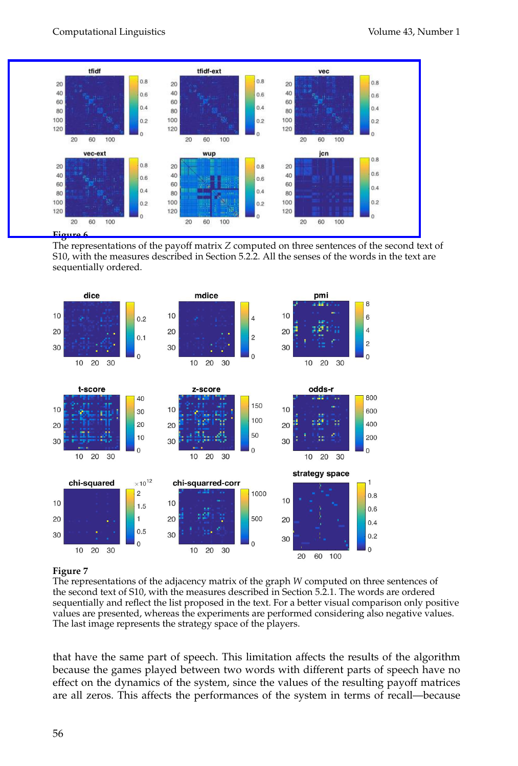

The representations of the payoff matrix *Z* computed on three sentences of the second text of S10, with the measures described in Section 5.2.2. All the senses of the words in the text are sequentially ordered.



The representations of the adjacency matrix of the graph *W* computed on three sentences of the second text of S10, with the measures described in Section 5.2.1. The words are ordered sequentially and reflect the list proposed in the text. For a better visual comparison only positive values are presented, whereas the experiments are performed considering also negative values. The last image represents the strategy space of the players.

that have the same part of speech. This limitation affects the results of the algorithm because the games played between two words with different parts of speech have no effect on the dynamics of the system, since the values of the resulting payoff matrices are all zeros. This affects the performances of the system in terms of recall—because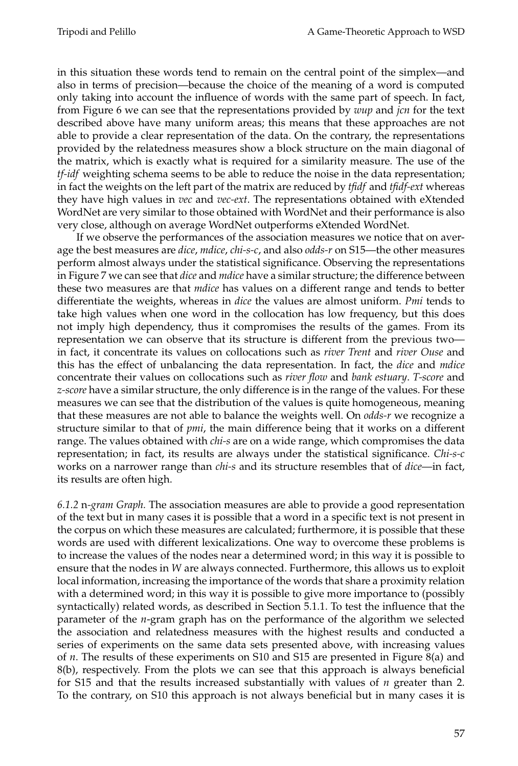in this situation these words tend to remain on the central point of the simplex—and also in terms of precision—because the choice of the meaning of a word is computed only taking into account the influence of words with the same part of speech. In fact, from Figure 6 we can see that the representations provided by *wup* and *jcn* for the text described above have many uniform areas; this means that these approaches are not able to provide a clear representation of the data. On the contrary, the representations provided by the relatedness measures show a block structure on the main diagonal of the matrix, which is exactly what is required for a similarity measure. The use of the *tf-idf* weighting schema seems to be able to reduce the noise in the data representation; in fact the weights on the left part of the matrix are reduced by *tfidf* and *tfidf-ext* whereas they have high values in *vec* and *vec-ext*. The representations obtained with eXtended WordNet are very similar to those obtained with WordNet and their performance is also very close, although on average WordNet outperforms eXtended WordNet.

If we observe the performances of the association measures we notice that on average the best measures are *dice*, *mdice*, *chi-s-c*, and also *odds-r* on S15—the other measures perform almost always under the statistical significance. Observing the representations in Figure 7 we can see that *dice* and *mdice* have a similar structure; the difference between these two measures are that *mdice* has values on a different range and tends to better differentiate the weights, whereas in *dice* the values are almost uniform. *Pmi* tends to take high values when one word in the collocation has low frequency, but this does not imply high dependency, thus it compromises the results of the games. From its representation we can observe that its structure is different from the previous two in fact, it concentrate its values on collocations such as *river Trent* and *river Ouse* and this has the effect of unbalancing the data representation. In fact, the *dice* and *mdice* concentrate their values on collocations such as *river flow* and *bank estuary*. *T-score* and *z-score* have a similar structure, the only difference is in the range of the values. For these measures we can see that the distribution of the values is quite homogeneous, meaning that these measures are not able to balance the weights well. On *odds-r* we recognize a structure similar to that of *pmi*, the main difference being that it works on a different range. The values obtained with *chi-s* are on a wide range, which compromises the data representation; in fact, its results are always under the statistical significance. *Chi-s-c* works on a narrower range than *chi-s* and its structure resembles that of *dice*—in fact, its results are often high.

*6.1.2* n*-gram Graph.* The association measures are able to provide a good representation of the text but in many cases it is possible that a word in a specific text is not present in the corpus on which these measures are calculated; furthermore, it is possible that these words are used with different lexicalizations. One way to overcome these problems is to increase the values of the nodes near a determined word; in this way it is possible to ensure that the nodes in *W* are always connected. Furthermore, this allows us to exploit local information, increasing the importance of the words that share a proximity relation with a determined word; in this way it is possible to give more importance to (possibly syntactically) related words, as described in Section 5.1.1. To test the influence that the parameter of the *n*-gram graph has on the performance of the algorithm we selected the association and relatedness measures with the highest results and conducted a series of experiments on the same data sets presented above, with increasing values of *n*. The results of these experiments on S10 and S15 are presented in Figure 8(a) and 8(b), respectively. From the plots we can see that this approach is always beneficial for S15 and that the results increased substantially with values of *n* greater than 2. To the contrary, on S10 this approach is not always beneficial but in many cases it is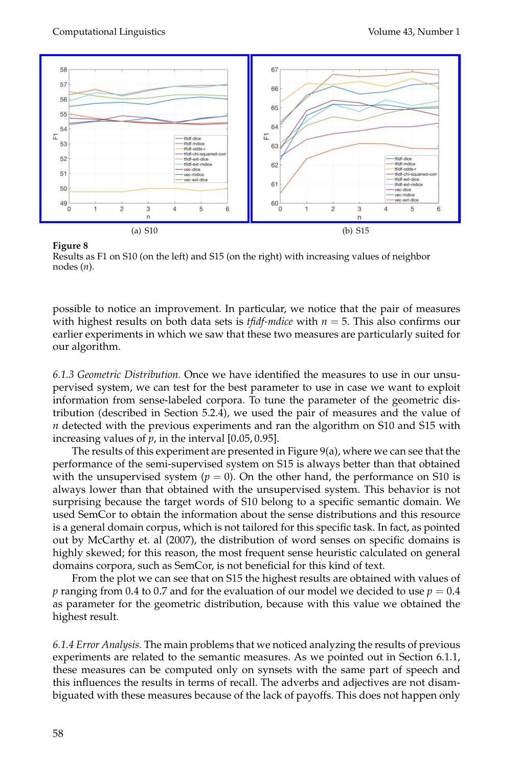

Results as F1 on S10 (on the left) and S15 (on the right) with increasing values of neighbor nodes (*n*).

possible to notice an improvement. In particular, we notice that the pair of measures with highest results on both data sets is *tfidf-mdice* with  $n = 5$ . This also confirms our earlier experiments in which we saw that these two measures are particularly suited for our algorithm.

*6.1.3 Geometric Distribution.* Once we have identified the measures to use in our unsupervised system, we can test for the best parameter to use in case we want to exploit information from sense-labeled corpora. To tune the parameter of the geometric distribution (described in Section 5.2.4), we used the pair of measures and the value of *n* detected with the previous experiments and ran the algorithm on S10 and S15 with increasing values of *p*, in the interval [0.05, 0.95].

The results of this experiment are presented in Figure 9(a), where we can see that the performance of the semi-supervised system on S15 is always better than that obtained with the unsupervised system  $(p = 0)$ . On the other hand, the performance on S10 is always lower than that obtained with the unsupervised system. This behavior is not surprising because the target words of S10 belong to a specific semantic domain. We used SemCor to obtain the information about the sense distributions and this resource is a general domain corpus, which is not tailored for this specific task. In fact, as pointed out by McCarthy et. al (2007), the distribution of word senses on specific domains is highly skewed; for this reason, the most frequent sense heuristic calculated on general domains corpora, such as SemCor, is not beneficial for this kind of text.

From the plot we can see that on S15 the highest results are obtained with values of *p* ranging from 0.4 to 0.7 and for the evaluation of our model we decided to use  $p = 0.4$ as parameter for the geometric distribution, because with this value we obtained the highest result.

*6.1.4 Error Analysis.* The main problems that we noticed analyzing the results of previous experiments are related to the semantic measures. As we pointed out in Section 6.1.1, these measures can be computed only on synsets with the same part of speech and this influences the results in terms of recall. The adverbs and adjectives are not disambiguated with these measures because of the lack of payoffs. This does not happen only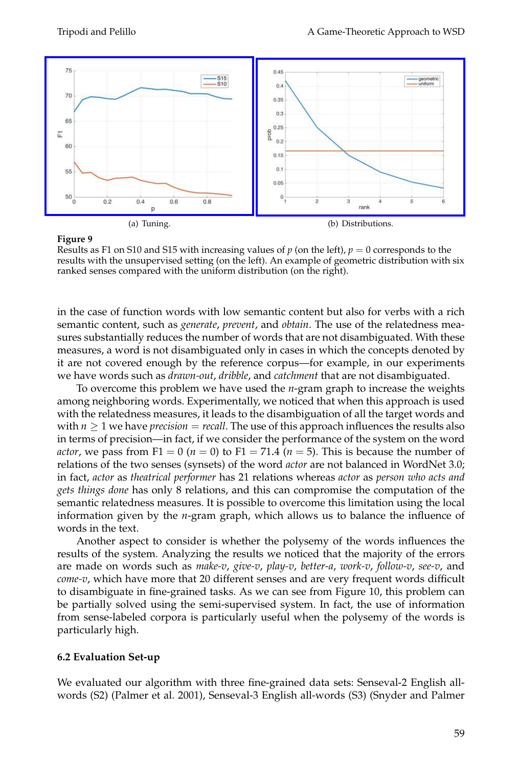

Results as F1 on S10 and S15 with increasing values of *p* (on the left), *p* = 0 corresponds to the results with the unsupervised setting (on the left). An example of geometric distribution with six ranked senses compared with the uniform distribution (on the right).

in the case of function words with low semantic content but also for verbs with a rich semantic content, such as *generate*, *prevent*, and *obtain*. The use of the relatedness measures substantially reduces the number of words that are not disambiguated. With these measures, a word is not disambiguated only in cases in which the concepts denoted by it are not covered enough by the reference corpus—for example, in our experiments we have words such as *drawn-out*, *dribble*, and *catchment* that are not disambiguated.

To overcome this problem we have used the *n*-gram graph to increase the weights among neighboring words. Experimentally, we noticed that when this approach is used with the relatedness measures, it leads to the disambiguation of all the target words and with  $n \geq 1$  we have *precision* = *recall*. The use of this approach influences the results also in terms of precision—in fact, if we consider the performance of the system on the word *actor*, we pass from F1 = 0 ( $n = 0$ ) to F1 = 71.4 ( $n = 5$ ). This is because the number of relations of the two senses (synsets) of the word *actor* are not balanced in WordNet 3.0; in fact, *actor* as *theatrical performer* has 21 relations whereas *actor* as *person who acts and gets things done* has only 8 relations, and this can compromise the computation of the semantic relatedness measures. It is possible to overcome this limitation using the local information given by the *n*-gram graph, which allows us to balance the influence of words in the text.

Another aspect to consider is whether the polysemy of the words influences the results of the system. Analyzing the results we noticed that the majority of the errors are made on words such as *make-v*, *give-v*, *play-v*, *better-a*, *work-v*, *follow-v*, *see-v*, and *come-v*, which have more that 20 different senses and are very frequent words difficult to disambiguate in fine-grained tasks. As we can see from Figure 10, this problem can be partially solved using the semi-supervised system. In fact, the use of information from sense-labeled corpora is particularly useful when the polysemy of the words is particularly high.

#### **6.2 Evaluation Set-up**

We evaluated our algorithm with three fine-grained data sets: Senseval-2 English allwords (S2) (Palmer et al. 2001), Senseval-3 English all-words (S3) (Snyder and Palmer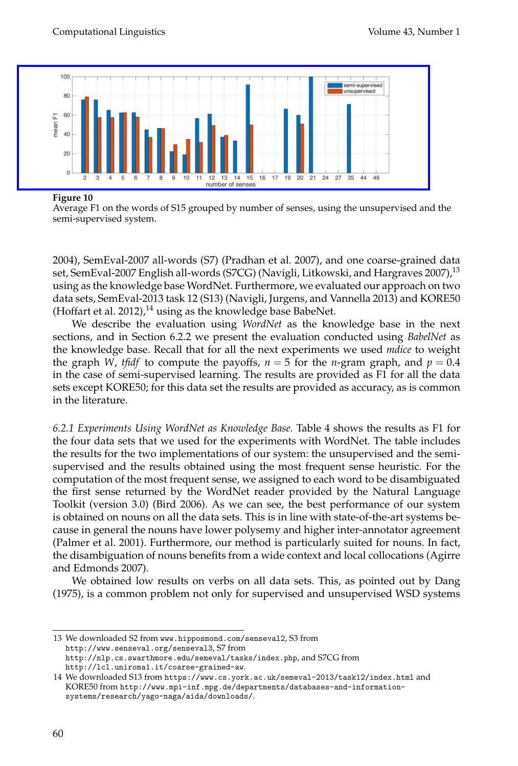



2004), SemEval-2007 all-words (S7) (Pradhan et al. 2007), and one coarse-grained data set, SemEval-2007 English all-words (S7CG) (Navigli, Litkowski, and Hargraves 2007),<sup>13</sup> using as the knowledge base WordNet. Furthermore, we evaluated our approach on two data sets, SemEval-2013 task 12 (S13) (Navigli, Jurgens, and Vannella 2013) and KORE50 (Hoffart et al. 2012), $^{14}$  using as the knowledge base BabeNet.

We describe the evaluation using *WordNet* as the knowledge base in the next sections, and in Section 6.2.2 we present the evaluation conducted using *BabelNet* as the knowledge base. Recall that for all the next experiments we used *mdice* to weight the graph *W*, *tfidf* to compute the payoffs,  $n = 5$  for the *n*-gram graph, and  $p = 0.4$ in the case of semi-supervised learning. The results are provided as F1 for all the data sets except KORE50; for this data set the results are provided as accuracy, as is common in the literature.

*6.2.1 Experiments Using WordNet as Knowledge Base.* Table 4 shows the results as F1 for the four data sets that we used for the experiments with WordNet. The table includes the results for the two implementations of our system: the unsupervised and the semisupervised and the results obtained using the most frequent sense heuristic. For the computation of the most frequent sense, we assigned to each word to be disambiguated the first sense returned by the WordNet reader provided by the Natural Language Toolkit (version 3.0) (Bird 2006). As we can see, the best performance of our system is obtained on nouns on all the data sets. This is in line with state-of-the-art systems because in general the nouns have lower polysemy and higher inter-annotator agreement (Palmer et al. 2001). Furthermore, our method is particularly suited for nouns. In fact, the disambiguation of nouns benefits from a wide context and local collocations (Agirre and Edmonds 2007).

We obtained low results on verbs on all data sets. This, as pointed out by Dang (1975), is a common problem not only for supervised and unsupervised WSD systems

<sup>13</sup> We downloaded S2 from www.hipposmond.com/senseval2, S3 from http://www.senseval.org/senseval3, S7 from http://nlp.cs.swarthmore.edu/semeval/tasks/index.php, and S7CG from http://lcl.uniroma1.it/coarse-grained-aw.

<sup>14</sup> We downloaded S13 from https://www.cs.york.ac.uk/semeval-2013/task12/index.html and KORE50 from http://www.mpi-inf.mpg.de/departments/databases-and-informationsystems/research/yago-naga/aida/downloads/.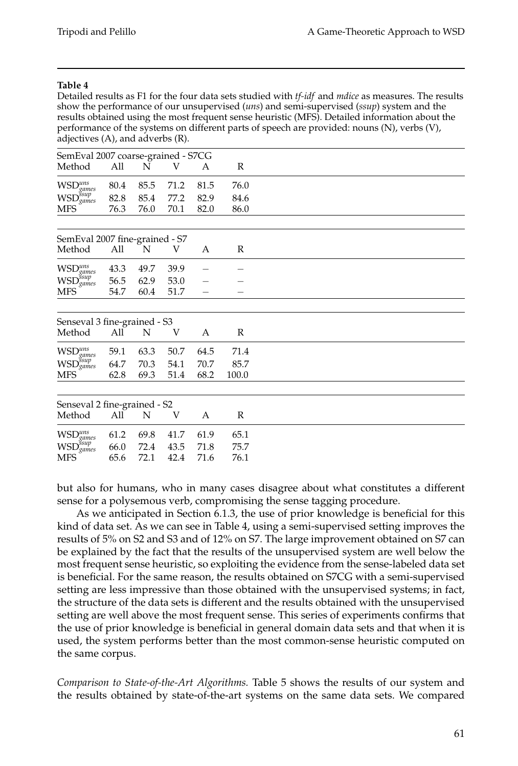#### **Table 4**

Detailed results as F1 for the four data sets studied with *tf-idf* and *mdice* as measures. The results show the performance of our unsupervised (*uns*) and semi-supervised (*ssup*) system and the results obtained using the most frequent sense heuristic (MFS). Detailed information about the performance of the systems on different parts of speech are provided: nouns (N), verbs (V), adjectives (A), and adverbs (R).

| SemEval 2007 coarse-grained - S7CG                                                  |      |      |      |      |             |
|-------------------------------------------------------------------------------------|------|------|------|------|-------------|
| Method                                                                              | All  | N    | V    | Α    | R           |
|                                                                                     | 80.4 | 85.5 | 71.2 | 81.5 | 76.0        |
| $\begin{array}{c} \text{WSD}^{uns}_{games}\\ \text{WSD}^{ssup}_{games} \end{array}$ | 82.8 | 85.4 | 77.2 | 82.9 | 84.6        |
| <b>MFS</b>                                                                          | 76.3 | 76.0 | 70.1 | 82.0 | 86.0        |
|                                                                                     |      |      |      |      |             |
|                                                                                     |      |      |      |      |             |
| SemEval 2007 fine-grained - S7<br>Method                                            | All  | N    | V    | A    | $\mathbb R$ |
|                                                                                     |      |      |      |      |             |
| WSD <sub>games</sub><br>WSD <sub>games</sub><br>NSD <sub>games</sub>                | 43.3 | 49.7 | 39.9 |      |             |
|                                                                                     | 56.5 | 62.9 | 53.0 |      |             |
| <b>MFS</b>                                                                          | 54.7 | 60.4 | 51.7 |      |             |
|                                                                                     |      |      |      |      |             |
| Senseval 3 fine-grained - S3                                                        |      |      |      |      |             |
| Method                                                                              | All  | N    | V    | A    | R           |
|                                                                                     | 59.1 | 63.3 | 50.7 | 64.5 | 71.4        |
| $\begin{array}{c} \text{WSD}^{uns}_{games}\\ \text{WSD}^{ssup}_{games} \end{array}$ | 64.7 | 70.3 | 54.1 | 70.7 | 85.7        |
| <b>MFS</b>                                                                          | 62.8 | 69.3 | 51.4 | 68.2 | 100.0       |
|                                                                                     |      |      |      |      |             |
| Senseval 2 fine-grained - S2                                                        |      |      |      |      |             |
| Method                                                                              | All  | N    | V    | A    | R           |
| WSD <sub>games</sub> <sup>uns</sup>                                                 | 61.2 | 69.8 | 41.7 | 61.9 | 65.1        |
| WSD <sub>games</sub> <sub>games</sub>                                               | 66.0 | 72.4 | 43.5 | 71.8 | 75.7        |
| <b>MFS</b>                                                                          | 65.6 | 72.1 | 42.4 | 71.6 | 76.1        |

but also for humans, who in many cases disagree about what constitutes a different sense for a polysemous verb, compromising the sense tagging procedure.

As we anticipated in Section 6.1.3, the use of prior knowledge is beneficial for this kind of data set. As we can see in Table 4, using a semi-supervised setting improves the results of 5% on S2 and S3 and of 12% on S7. The large improvement obtained on S7 can be explained by the fact that the results of the unsupervised system are well below the most frequent sense heuristic, so exploiting the evidence from the sense-labeled data set is beneficial. For the same reason, the results obtained on S7CG with a semi-supervised setting are less impressive than those obtained with the unsupervised systems; in fact, the structure of the data sets is different and the results obtained with the unsupervised setting are well above the most frequent sense. This series of experiments confirms that the use of prior knowledge is beneficial in general domain data sets and that when it is used, the system performs better than the most common-sense heuristic computed on the same corpus.

*Comparison to State-of-the-Art Algorithms.* Table 5 shows the results of our system and the results obtained by state-of-the-art systems on the same data sets. We compared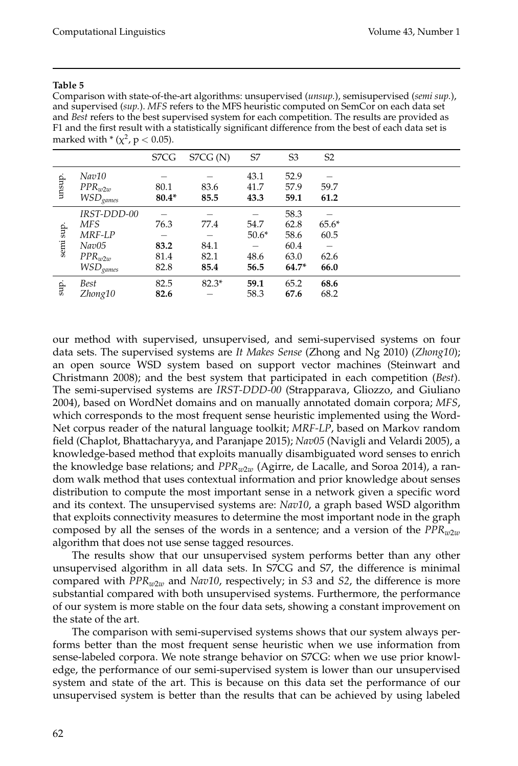#### **Table 5**

Comparison with state-of-the-art algorithms: unsupervised (*unsup.*), semisupervised (*semi sup.*), and supervised (*sup.*). *MFS* refers to the MFS heuristic computed on SemCor on each data set and *Best* refers to the best supervised system for each competition. The results are provided as F1 and the first result with a statistically significant difference from the best of each data set is marked with  $*(\chi^2, p < 0.05)$ .

|        |                               | S7CG    | STCG(N) | S7      | S <sub>3</sub> | S <sub>2</sub> |
|--------|-------------------------------|---------|---------|---------|----------------|----------------|
|        | Nav10                         |         |         | 43.1    | 52.9           |                |
| unsup. | $PPR_{w2w}$                   | 80.1    | 83.6    | 41.7    | 57.9           | 59.7           |
|        | $\mathit{WSD}_\mathit{games}$ | $80.4*$ | 85.5    | 43.3    | 59.1           | 61.2           |
|        | IRST-DDD-00                   |         |         |         | 58.3           |                |
|        | MFS                           | 76.3    | 77.4    | 54.7    | 62.8           | $65.6*$        |
| sup.   | MRF-LP                        | —       |         | $50.6*$ | 58.6           | 60.5           |
| semi   | Nav05                         | 83.2    | 84.1    |         | 60.4           |                |
|        | $PPR_{w2w}$                   | 81.4    | 82.1    | 48.6    | 63.0           | 62.6           |
|        | $\mathit{WSD}_\mathit{games}$ | 82.8    | 85.4    | 56.5    | $64.7*$        | 66.0           |
| sup.   | <b>Best</b>                   | 82.5    | $82.3*$ | 59.1    | 65.2           | 68.6           |
|        | Zhong10                       | 82.6    |         | 58.3    | 67.6           | 68.2           |

our method with supervised, unsupervised, and semi-supervised systems on four data sets. The supervised systems are *It Makes Sense* (Zhong and Ng 2010) (*Zhong10*); an open source WSD system based on support vector machines (Steinwart and Christmann 2008); and the best system that participated in each competition (*Best*). The semi-supervised systems are *IRST-DDD-00* (Strapparava, Gliozzo, and Giuliano 2004), based on WordNet domains and on manually annotated domain corpora; *MFS*, which corresponds to the most frequent sense heuristic implemented using the Word-Net corpus reader of the natural language toolkit; *MRF-LP*, based on Markov random field (Chaplot, Bhattacharyya, and Paranjape 2015); *Nav05* (Navigli and Velardi 2005), a knowledge-based method that exploits manually disambiguated word senses to enrich the knowledge base relations; and *PPRw*2*<sup>w</sup>* (Agirre, de Lacalle, and Soroa 2014), a random walk method that uses contextual information and prior knowledge about senses distribution to compute the most important sense in a network given a specific word and its context. The unsupervised systems are: *Nav10*, a graph based WSD algorithm that exploits connectivity measures to determine the most important node in the graph composed by all the senses of the words in a sentence; and a version of the  $PPR_{w2w}$ algorithm that does not use sense tagged resources.

The results show that our unsupervised system performs better than any other unsupervised algorithm in all data sets. In S7CG and S7, the difference is minimal compared with *PPRw*2*<sup>w</sup>* and *Nav10*, respectively; in *S3* and *S2*, the difference is more substantial compared with both unsupervised systems. Furthermore, the performance of our system is more stable on the four data sets, showing a constant improvement on the state of the art.

The comparison with semi-supervised systems shows that our system always performs better than the most frequent sense heuristic when we use information from sense-labeled corpora. We note strange behavior on S7CG: when we use prior knowledge, the performance of our semi-supervised system is lower than our unsupervised system and state of the art. This is because on this data set the performance of our unsupervised system is better than the results that can be achieved by using labeled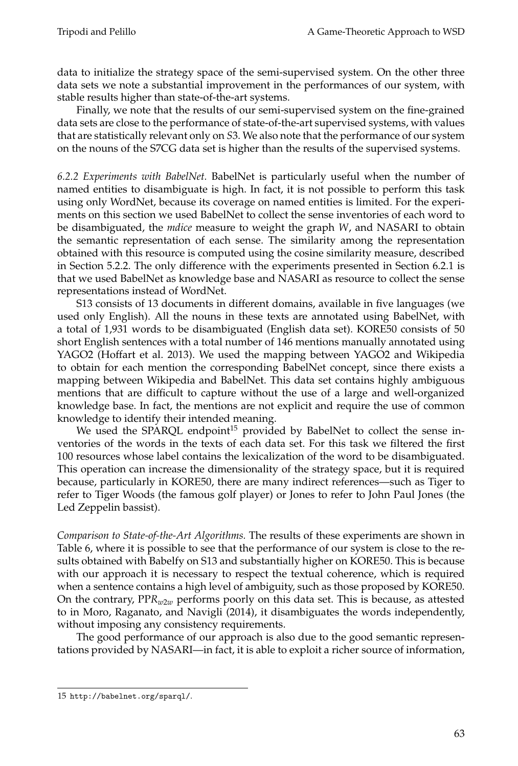data to initialize the strategy space of the semi-supervised system. On the other three data sets we note a substantial improvement in the performances of our system, with stable results higher than state-of-the-art systems.

Finally, we note that the results of our semi-supervised system on the fine-grained data sets are close to the performance of state-of-the-art supervised systems, with values that are statistically relevant only on *S*3. We also note that the performance of our system on the nouns of the S7CG data set is higher than the results of the supervised systems.

*6.2.2 Experiments with BabelNet.* BabelNet is particularly useful when the number of named entities to disambiguate is high. In fact, it is not possible to perform this task using only WordNet, because its coverage on named entities is limited. For the experiments on this section we used BabelNet to collect the sense inventories of each word to be disambiguated, the *mdice* measure to weight the graph *W*, and NASARI to obtain the semantic representation of each sense. The similarity among the representation obtained with this resource is computed using the cosine similarity measure, described in Section 5.2.2. The only difference with the experiments presented in Section 6.2.1 is that we used BabelNet as knowledge base and NASARI as resource to collect the sense representations instead of WordNet.

S13 consists of 13 documents in different domains, available in five languages (we used only English). All the nouns in these texts are annotated using BabelNet, with a total of 1,931 words to be disambiguated (English data set). KORE50 consists of 50 short English sentences with a total number of 146 mentions manually annotated using YAGO2 (Hoffart et al. 2013). We used the mapping between YAGO2 and Wikipedia to obtain for each mention the corresponding BabelNet concept, since there exists a mapping between Wikipedia and BabelNet. This data set contains highly ambiguous mentions that are difficult to capture without the use of a large and well-organized knowledge base. In fact, the mentions are not explicit and require the use of common knowledge to identify their intended meaning.

We used the SPARQL endpoint<sup>15</sup> provided by BabelNet to collect the sense inventories of the words in the texts of each data set. For this task we filtered the first 100 resources whose label contains the lexicalization of the word to be disambiguated. This operation can increase the dimensionality of the strategy space, but it is required because, particularly in KORE50, there are many indirect references—such as Tiger to refer to Tiger Woods (the famous golf player) or Jones to refer to John Paul Jones (the Led Zeppelin bassist).

*Comparison to State-of-the-Art Algorithms.* The results of these experiments are shown in Table 6, where it is possible to see that the performance of our system is close to the results obtained with Babelfy on S13 and substantially higher on KORE50. This is because with our approach it is necessary to respect the textual coherence, which is required when a sentence contains a high level of ambiguity, such as those proposed by KORE50. On the contrary, PP*Rw*2*<sup>w</sup>* performs poorly on this data set. This is because, as attested to in Moro, Raganato, and Navigli (2014), it disambiguates the words independently, without imposing any consistency requirements.

The good performance of our approach is also due to the good semantic representations provided by NASARI—in fact, it is able to exploit a richer source of information,

<sup>15</sup> http://babelnet.org/sparql/.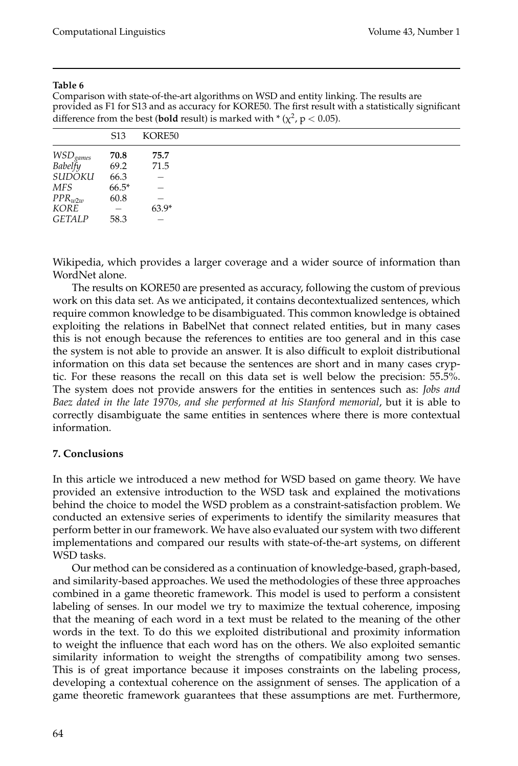#### **Table 6**

Comparison with state-of-the-art algorithms on WSD and entity linking. The results are provided as F1 for S13 and as accuracy for KORE50. The first result with a statistically significant difference from the best (**bold** result) is marked with  $*(\chi^2, p < 0.05)$ .

|                                 | S <sub>13</sub>          | KORE50                   |
|---------------------------------|--------------------------|--------------------------|
|                                 | 70.8                     | 75.7                     |
| WSD <sub>games</sub><br>Babelfy | 69.2                     | 71.5                     |
| SUDÓKU                          | 66.3                     | $\qquad \qquad -$        |
| MFS                             | $66.5*$                  | -                        |
| $PPR_{w2w}$                     | 60.8                     |                          |
| KORE                            | $\overline{\phantom{m}}$ | $63.9*$                  |
| <b>GETALP</b>                   | 58.3                     | $\overline{\phantom{0}}$ |

Wikipedia, which provides a larger coverage and a wider source of information than WordNet alone.

The results on KORE50 are presented as accuracy, following the custom of previous work on this data set. As we anticipated, it contains decontextualized sentences, which require common knowledge to be disambiguated. This common knowledge is obtained exploiting the relations in BabelNet that connect related entities, but in many cases this is not enough because the references to entities are too general and in this case the system is not able to provide an answer. It is also difficult to exploit distributional information on this data set because the sentences are short and in many cases cryptic. For these reasons the recall on this data set is well below the precision: 55.5%. The system does not provide answers for the entities in sentences such as: *Jobs and Baez dated in the late 1970s, and she performed at his Stanford memorial*, but it is able to correctly disambiguate the same entities in sentences where there is more contextual information.

### **7. Conclusions**

In this article we introduced a new method for WSD based on game theory. We have provided an extensive introduction to the WSD task and explained the motivations behind the choice to model the WSD problem as a constraint-satisfaction problem. We conducted an extensive series of experiments to identify the similarity measures that perform better in our framework. We have also evaluated our system with two different implementations and compared our results with state-of-the-art systems, on different WSD tasks.

Our method can be considered as a continuation of knowledge-based, graph-based, and similarity-based approaches. We used the methodologies of these three approaches combined in a game theoretic framework. This model is used to perform a consistent labeling of senses. In our model we try to maximize the textual coherence, imposing that the meaning of each word in a text must be related to the meaning of the other words in the text. To do this we exploited distributional and proximity information to weight the influence that each word has on the others. We also exploited semantic similarity information to weight the strengths of compatibility among two senses. This is of great importance because it imposes constraints on the labeling process, developing a contextual coherence on the assignment of senses. The application of a game theoretic framework guarantees that these assumptions are met. Furthermore,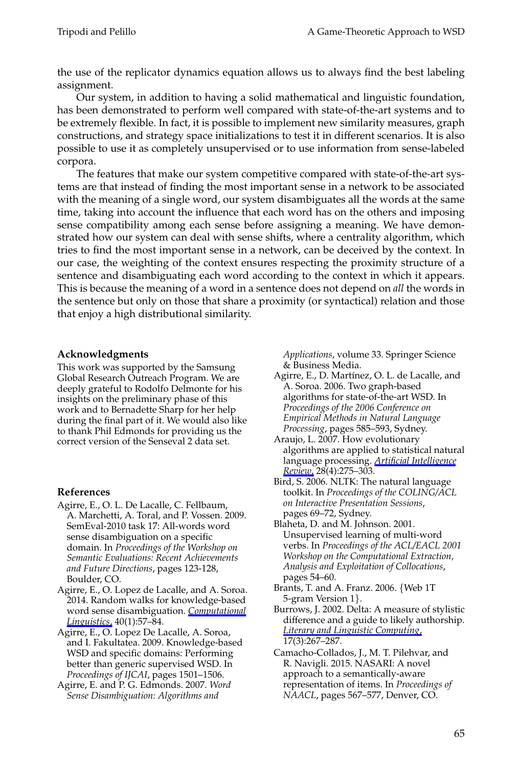the use of the replicator dynamics equation allows us to always find the best labeling assignment.

Our system, in addition to having a solid mathematical and linguistic foundation, has been demonstrated to perform well compared with state-of-the-art systems and to be extremely flexible. In fact, it is possible to implement new similarity measures, graph constructions, and strategy space initializations to test it in different scenarios. It is also possible to use it as completely unsupervised or to use information from sense-labeled corpora.

The features that make our system competitive compared with state-of-the-art systems are that instead of finding the most important sense in a network to be associated with the meaning of a single word, our system disambiguates all the words at the same time, taking into account the influence that each word has on the others and imposing sense compatibility among each sense before assigning a meaning. We have demonstrated how our system can deal with sense shifts, where a centrality algorithm, which tries to find the most important sense in a network, can be deceived by the context. In our case, the weighting of the context ensures respecting the proximity structure of a sentence and disambiguating each word according to the context in which it appears. This is because the meaning of a word in a sentence does not depend on *all* the words in the sentence but only on those that share a proximity (or syntactical) relation and those that enjoy a high distributional similarity.

### **Acknowledgments**

This work was supported by the Samsung Global Research Outreach Program. We are deeply grateful to Rodolfo Delmonte for his insights on the preliminary phase of this work and to Bernadette Sharp for her help during the final part of it. We would also like to thank Phil Edmonds for providing us the correct version of the Senseval 2 data set.

# **References**

- Agirre, E., O. L. De Lacalle, C. Fellbaum, A. Marchetti, A. Toral, and P. Vossen. 2009. SemEval-2010 task 17: All-words word sense disambiguation on a specific domain. In *Proceedings of the Workshop on Semantic Evaluations: Recent Achievements and Future Directions*, pages 123-128, Boulder, CO.
- Agirre, E., O. Lopez de Lacalle, and A. Soroa. 2014. Random walks for knowledge-based word sense disambiguation. *[Computational](http://www.mitpressjournals.org/action/showLinks?system=10.1162%2FCOLI_a_00164) [Linguistics](http://www.mitpressjournals.org/action/showLinks?system=10.1162%2FCOLI_a_00164)*, 40(1):57–84.
- Agirre, E., O. Lopez De Lacalle, A. Soroa, and I. Fakultatea. 2009. Knowledge-based WSD and specific domains: Performing better than generic supervised WSD. In *Proceedings of IJCAI*, pages 1501–1506.
- Agirre, E. and P. G. Edmonds. 2007. *Word Sense Disambiguation: Algorithms and*

*Applications*, volume 33. Springer Science & Business Media.

- Agirre, E., D. Martínez, O. L. de Lacalle, and A. Soroa. 2006. Two graph-based algorithms for state-of-the-art WSD. In *Proceedings of the 2006 Conference on Empirical Methods in Natural Language Processing*, pages 585–593, Sydney.
- Araujo, L. 2007. How evolutionary algorithms are applied to statistical natural language processing. *[Artificial Intelligence](http://www.mitpressjournals.org/action/showLinks?crossref=10.1007%2Fs10462-009-9104-y) [Review](http://www.mitpressjournals.org/action/showLinks?crossref=10.1007%2Fs10462-009-9104-y)*, 28(4):275–303.
- Bird, S. 2006. NLTK: The natural language toolkit. In *Proceedings of the COLING/ACL on Interactive Presentation Sessions*, pages 69–72, Sydney.
- Blaheta, D. and M. Johnson. 2001. Unsupervised learning of multi-word verbs. In *Proceedings of the ACL/EACL 2001 Workshop on the Computational Extraction, Analysis and Exploitation of Collocations*, pages 54–60.
- Brants, T. and A. Franz. 2006. {Web 1T 5-gram Version 1}.
- Burrows, J. 2002. Delta: A measure of stylistic difference and a guide to likely authorship. *[Literary and Linguistic Computing](http://www.mitpressjournals.org/action/showLinks?crossref=10.1093%2Fllc%2F17.3.267)*, 17(3):267–287.
- Camacho-Collados, J., M. T. Pilehvar, and R. Navigli. 2015. NASARI: A novel approach to a semantically-aware representation of items. In *Proceedings of NAACL*, pages 567–577, Denver, CO.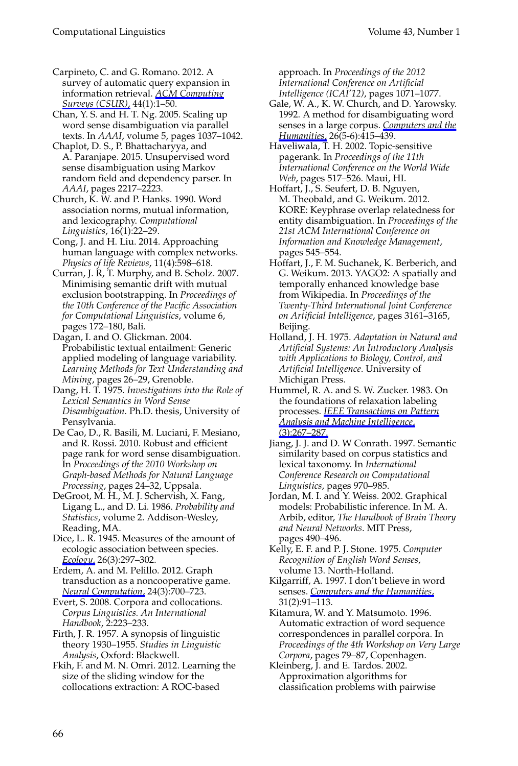Carpineto, C. and G. Romano. 2012. A survey of automatic query expansion in information retrieval. *[ACM Computing](http://www.mitpressjournals.org/action/showLinks?crossref=10.1145%2F2071389.2071390) [Surveys \(CSUR\)](http://www.mitpressjournals.org/action/showLinks?crossref=10.1145%2F2071389.2071390)*, 44(1):1–50.

Chan, Y. S. and H. T. Ng. 2005. Scaling up word sense disambiguation via parallel texts. In *AAAI*, volume 5, pages 1037–1042.

Chaplot, D. S., P. Bhattacharyya, and A. Paranjape. 2015. Unsupervised word sense disambiguation using Markov random field and dependency parser. In *AAAI*, pages 2217–2223.

Church,  $\hat{K}$ . W. and P. Hanks. 1990. Word association norms, mutual information, and lexicography. *Computational Linguistics*, 16(1):22–29.

Cong, J. and H. Liu. 2014. Approaching human language with complex networks. *Physics of life Reviews*, 11(4):598–618.

Curran, J. R, T. Murphy, and B. Scholz. 2007. Minimising semantic drift with mutual exclusion bootstrapping. In *Proceedings of the 10th Conference of the Pacific Association for Computational Linguistics*, volume 6, pages 172–180, Bali.

Dagan, I. and O. Glickman. 2004. Probabilistic textual entailment: Generic applied modeling of language variability. *Learning Methods for Text Understanding and Mining*, pages 26–29, Grenoble.

Dang, H. T. 1975. *Investigations into the Role of Lexical Semantics in Word Sense Disambiguation*. Ph.D. thesis, University of Pensylvania.

De Cao, D., R. Basili, M. Luciani, F. Mesiano, and R. Rossi. 2010. Robust and efficient page rank for word sense disambiguation. In *Proceedings of the 2010 Workshop on Graph-based Methods for Natural Language Processing*, pages 24–32, Uppsala.

DeGroot, M. H., M. J. Schervish, X. Fang, Ligang L., and D. Li. 1986. *Probability and Statistics*, volume 2. Addison-Wesley, Reading, MA.

Dice, L. R. 1945. Measures of the amount of ecologic association between species. *[Ecology](http://www.mitpressjournals.org/action/showLinks?crossref=10.2307%2F1932409)*, 26(3):297–302.

Erdem, A. and M. Pelillo. 2012. Graph transduction as a noncooperative game. *[Neural Computation](http://www.mitpressjournals.org/action/showLinks?system=10.1162%2FNECO_a_00233)*, 24(3):700–723.

Evert, S. 2008. Corpora and collocations. *Corpus Linguistics. An International Handbook*, 2:223–233.

Firth, J. R. 1957. A synopsis of linguistic theory 1930–1955. *Studies in Linguistic Analysis*, Oxford: Blackwell.

Fkih, F. and M. N. Omri. 2012. Learning the size of the sliding window for the collocations extraction: A ROC-based

approach. In *Proceedings of the 2012 International Conference on Artificial Intelligence (ICAI'12)*, pages 1071–1077.

Gale, W. A., K. W. Church, and D. Yarowsky. 1992. A method for disambiguating word senses in a large corpus. *[Computers and the](http://www.mitpressjournals.org/action/showLinks?crossref=10.1007%2FBF00136984) [Humanities](http://www.mitpressjournals.org/action/showLinks?crossref=10.1007%2FBF00136984)*, 26(5-6):415–439.

Haveliwala, T. H. 2002. Topic-sensitive pagerank. In *Proceedings of the 11th International Conference on the World Wide Web*, pages 517–526. Maui, HI.

Hoffart, J., S. Seufert, D. B. Nguyen, M. Theobald, and G. Weikum. 2012. KORE: Keyphrase overlap relatedness for entity disambiguation. In *Proceedings of the 21st ACM International Conference on Information and Knowledge Management*, pages 545–554.

Hoffart, J., F. M. Suchanek, K. Berberich, and G. Weikum. 2013. YAGO2: A spatially and temporally enhanced knowledge base from Wikipedia. In *Proceedings of the Twenty-Third International Joint Conference on Artificial Intelligence*, pages 3161–3165, Beijing.

Holland, J. H. 1975. *Adaptation in Natural and Artificial Systems: An Introductory Analysis with Applications to Biology, Control, and Artificial Intelligence*. University of Michigan Press.

Hummel, R. A. and S. W. Zucker. 1983. On the foundations of relaxation labeling processes. *[IEEE Transactions on Pattern](http://www.mitpressjournals.org/action/showLinks?crossref=10.1109%2FTPAMI.1983.4767390) [Analysis and Machine Intelligence](http://www.mitpressjournals.org/action/showLinks?crossref=10.1109%2FTPAMI.1983.4767390)*,  $(3):267-287$ 

Jiang, J. J. and D. W Conrath. 1997. Semantic similarity based on corpus statistics and lexical taxonomy. In *International Conference Research on Computational Linguistics*, pages 970–985.

Jordan, M. I. and Y. Weiss. 2002. Graphical models: Probabilistic inference. In M. A. Arbib, editor, *The Handbook of Brain Theory and Neural Networks*. MIT Press, pages 490–496.

Kelly, E. F. and P. J. Stone. 1975. *Computer Recognition of English Word Senses*, volume 13. North-Holland.

Kilgarriff, A. 1997. I don't believe in word senses. *[Computers and the Humanities](http://www.mitpressjournals.org/action/showLinks?crossref=10.1023%2FA%3A1000583911091)*, 31(2):91–113.

Kitamura, W. and Y. Matsumoto. 1996. Automatic extraction of word sequence correspondences in parallel corpora. In *Proceedings of the 4th Workshop on Very Large Corpora*, pages 79–87, Copenhagen.

Kleinberg, J. and E. Tardos. 2002. Approximation algorithms for classification problems with pairwise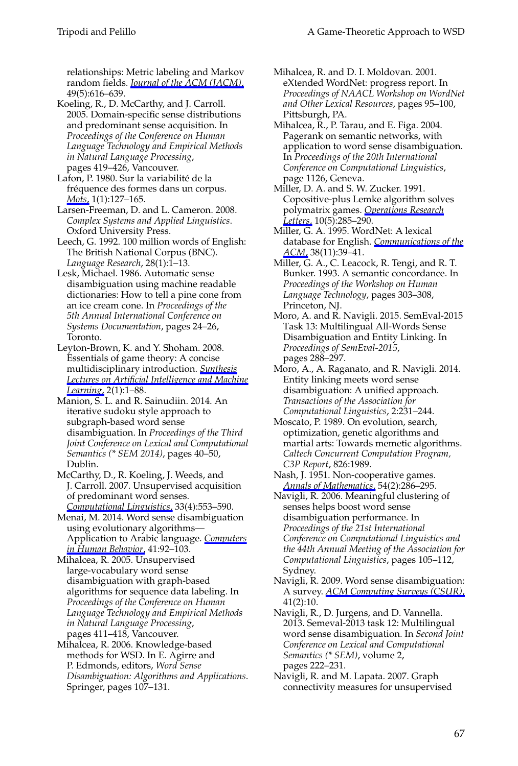relationships: Metric labeling and Markov random fields. *[Journal of the ACM \(JACM\)](http://www.mitpressjournals.org/action/showLinks?crossref=10.1145%2F585265.585268)*, 49(5):616–639.

Koeling, R., D. McCarthy, and J. Carroll. 2005. Domain-specific sense distributions and predominant sense acquisition. In *Proceedings of the Conference on Human Language Technology and Empirical Methods in Natural Language Processing*, pages 419–426, Vancouver.

Lafon, P. 1980. Sur la variabilite de la ´ fréquence des formes dans un corpus. *[Mots](http://www.mitpressjournals.org/action/showLinks?crossref=10.3406%2Fmots.1980.1008)*, 1(1):127–165.

Larsen-Freeman, D. and L. Cameron. 2008. *Complex Systems and Applied Linguistics*. Oxford University Press.

Leech, G. 1992. 100 million words of English: The British National Corpus (BNC). *Language Research*, 28(1):1–13.

Lesk, Michael. 1986. Automatic sense disambiguation using machine readable dictionaries: How to tell a pine cone from an ice cream cone. In *Proceedings of the 5th Annual International Conference on Systems Documentation*, pages 24–26, Toronto.

Leyton-Brown, K. and Y. Shoham. 2008. Essentials of game theory: A concise multidisciplinary introduction. *[Synthesis](http://www.mitpressjournals.org/action/showLinks?crossref=10.2200%2FS00108ED1V01Y200802AIM003) [Lectures on Artificial Intelligence and Machine](http://www.mitpressjournals.org/action/showLinks?crossref=10.2200%2FS00108ED1V01Y200802AIM003) [Learning](http://www.mitpressjournals.org/action/showLinks?crossref=10.2200%2FS00108ED1V01Y200802AIM003)*, 2(1):1–88.

Manion, S. L. and R. Sainudiin. 2014. An iterative sudoku style approach to subgraph-based word sense disambiguation. In *Proceedings of the Third Joint Conference on Lexical and Computational Semantics (\* SEM 2014)*, pages 40–50, Dublin.

McCarthy, D., R. Koeling, J. Weeds, and J. Carroll. 2007. Unsupervised acquisition of predominant word senses. *[Computational Linguistics](http://www.mitpressjournals.org/action/showLinks?system=10.1162%2Fcoli.2007.33.4.553)*, 33(4):553–590.

Menai, M. 2014. Word sense disambiguation using evolutionary algorithms— Application to Arabic language. *[Computers](http://www.mitpressjournals.org/action/showLinks?crossref=10.1016%2Fj.chb.2014.06.021) [in Human Behavior](http://www.mitpressjournals.org/action/showLinks?crossref=10.1016%2Fj.chb.2014.06.021)*, 41:92–103.

Mihalcea, R. 2005. Unsupervised large-vocabulary word sense disambiguation with graph-based algorithms for sequence data labeling. In *Proceedings of the Conference on Human Language Technology and Empirical Methods in Natural Language Processing*, pages 411–418, Vancouver.

Mihalcea, R. 2006. Knowledge-based methods for WSD. In E. Agirre and P. Edmonds, editors, *Word Sense Disambiguation: Algorithms and Applications*. Springer, pages 107–131.

Mihalcea, R. and D. I. Moldovan. 2001. eXtended WordNet: progress report. In *Proceedings of NAACL Workshop on WordNet and Other Lexical Resources*, pages 95–100, Pittsburgh, PA.

Mihalcea, R., P. Tarau, and E. Figa. 2004. Pagerank on semantic networks, with application to word sense disambiguation. In *Proceedings of the 20th International Conference on Computational Linguistics*, page 1126, Geneva.

Miller, D. A. and S. W. Zucker. 1991. Copositive-plus Lemke algorithm solves polymatrix games. *[Operations Research](http://www.mitpressjournals.org/action/showLinks?crossref=10.1016%2F0167-6377%2891%2990015-H) [Letters](http://www.mitpressjournals.org/action/showLinks?crossref=10.1016%2F0167-6377%2891%2990015-H)*, 10(5):285–290.

Miller, G. A. 1995. WordNet: A lexical database for English. *[Communications of the](http://www.mitpressjournals.org/action/showLinks?crossref=10.1145%2F219717.219748) [ACM](http://www.mitpressjournals.org/action/showLinks?crossref=10.1145%2F219717.219748)*, 38(11):39–41.

Miller, G. A., C. Leacock, R. Tengi, and R. T. Bunker. 1993. A semantic concordance. In *Proceedings of the Workshop on Human Language Technology*, pages 303–308, Princeton, NJ.

Moro, A. and R. Navigli. 2015. SemEval-2015 Task 13: Multilingual All-Words Sense Disambiguation and Entity Linking. In *Proceedings of SemEval-2015*, pages 288–297.

Moro, A., A. Raganato, and R. Navigli. 2014. Entity linking meets word sense disambiguation: A unified approach. *Transactions of the Association for Computational Linguistics*, 2:231–244.

Moscato, P. 1989. On evolution, search, optimization, genetic algorithms and martial arts: Towards memetic algorithms. *Caltech Concurrent Computation Program, C3P Report*, 826:1989.

Nash, J. 1951. Non-cooperative games. *[Annals of Mathematics](http://www.mitpressjournals.org/action/showLinks?crossref=10.2307%2F1969529)*, 54(2):286–295.

Navigli, R. 2006. Meaningful clustering of senses helps boost word sense disambiguation performance. In *Proceedings of the 21st International Conference on Computational Linguistics and the 44th Annual Meeting of the Association for Computational Linguistics*, pages 105–112, Sydney.

Navigli, R. 2009. Word sense disambiguation: A survey. *[ACM Computing Surveys \(CSUR\)](http://www.mitpressjournals.org/action/showLinks?crossref=10.1145%2F1459352.1459355)*, 41(2):10.

Navigli, R., D. Jurgens, and D. Vannella. 2013. Semeval-2013 task 12: Multilingual word sense disambiguation. In *Second Joint Conference on Lexical and Computational Semantics (\* SEM)*, volume 2, pages 222–231.

Navigli, R. and M. Lapata. 2007. Graph connectivity measures for unsupervised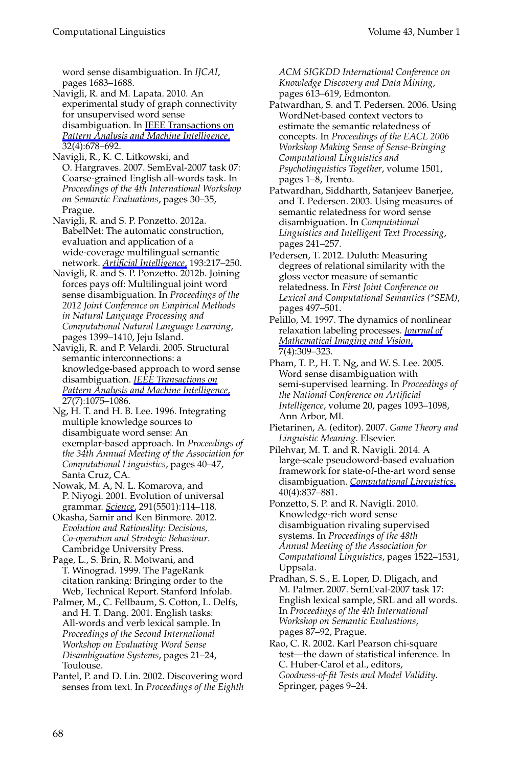word sense disambiguation. In *IJCAI*, pages 1683–1688.

Navigli, R. and M. Lapata. 2010. An experimental study of graph connectivity for unsupervised word sense disambiguation. In **IEEE Transactions on** *[Pattern Analysis and Machine Intelligence](http://www.mitpressjournals.org/action/showLinks?crossref=10.1109%2FTPAMI.2009.36)*, 32(4):678–692.

Navigli, R., K. C. Litkowski, and O. Hargraves. 2007. SemEval-2007 task 07: Coarse-grained English all-words task. In *Proceedings of the 4th International Workshop on Semantic Evaluations*, pages 30–35, Prague.

Navigli, R. and S. P. Ponzetto. 2012a. BabelNet: The automatic construction, evaluation and application of a wide-coverage multilingual semantic network. *[Artificial Intelligence](http://www.mitpressjournals.org/action/showLinks?crossref=10.1016%2Fj.artint.2012.07.001)*, 193:217–250.

Navigli, R. and S. P. Ponzetto. 2012b. Joining forces pays off: Multilingual joint word sense disambiguation. In *Proceedings of the 2012 Joint Conference on Empirical Methods in Natural Language Processing and Computational Natural Language Learning*, pages 1399–1410, Jeju Island.

Navigli, R. and P. Velardi. 2005. Structural semantic interconnections: a knowledge-based approach to word sense disambiguation. *[IEEE Transactions on](http://www.mitpressjournals.org/action/showLinks?crossref=10.1109%2FTPAMI.2005.149) [Pattern Analysis and Machine Intelligence](http://www.mitpressjournals.org/action/showLinks?crossref=10.1109%2FTPAMI.2005.149)*, 27(7):1075–1086.

Ng, H. T. and H. B. Lee. 1996. Integrating multiple knowledge sources to disambiguate word sense: An exemplar-based approach. In *Proceedings of the 34th Annual Meeting of the Association for Computational Linguistics*, pages 40–47, Santa Cruz, CA.

Nowak, M. A, N. L. Komarova, and P. Niyogi. 2001. Evolution of universal grammar. *[Science](http://www.mitpressjournals.org/action/showLinks?crossref=10.1126%2Fscience.291.5501.114)*, 291(5501):114–118.

Okasha, Samir and Ken Binmore. 2012. *Evolution and Rationality: Decisions, Co-operation and Strategic Behaviour*. Cambridge University Press.

Page, L., S. Brin, R. Motwani, and T. Winograd. 1999. The PageRank citation ranking: Bringing order to the Web, Technical Report. Stanford Infolab.

Palmer, M., C. Fellbaum, S. Cotton, L. Delfs, and H. T. Dang. 2001. English tasks: All-words and verb lexical sample. In *Proceedings of the Second International Workshop on Evaluating Word Sense Disambiguation Systems*, pages 21–24, Toulouse.

Pantel, P. and D. Lin. 2002. Discovering word senses from text. In *Proceedings of the Eighth* *ACM SIGKDD International Conference on Knowledge Discovery and Data Mining*, pages 613–619, Edmonton.

- Patwardhan, S. and T. Pedersen. 2006. Using WordNet-based context vectors to estimate the semantic relatedness of concepts. In *Proceedings of the EACL 2006 Workshop Making Sense of Sense-Bringing Computational Linguistics and Psycholinguistics Together*, volume 1501, pages 1–8, Trento.
- Patwardhan, Siddharth, Satanjeev Banerjee, and T. Pedersen. 2003. Using measures of semantic relatedness for word sense disambiguation. In *Computational Linguistics and Intelligent Text Processing*, pages 241–257.

Pedersen, T. 2012. Duluth: Measuring degrees of relational similarity with the gloss vector measure of semantic relatedness. In *First Joint Conference on Lexical and Computational Semantics (\*SEM)*, pages 497–501.

Pelillo, M. 1997. The dynamics of nonlinear relaxation labeling processes. *[Journal of](http://www.mitpressjournals.org/action/showLinks?crossref=10.1023%2FA%3A1008255111261) [Mathematical Imaging and Vision](http://www.mitpressjournals.org/action/showLinks?crossref=10.1023%2FA%3A1008255111261)*, 7(4):309–323.

Pham, T. P., H. T. Ng, and W. S. Lee. 2005. Word sense disambiguation with semi-supervised learning. In *Proceedings of the National Conference on Artificial Intelligence*, volume 20, pages 1093–1098, Ann Arbor, MI.

Pietarinen, A. (editor). 2007. *Game Theory and Linguistic Meaning*. Elsevier.

Pilehvar, M. T. and R. Navigli. 2014. A large-scale pseudoword-based evaluation framework for state-of-the-art word sense disambiguation. *[Computational Linguistics](http://www.mitpressjournals.org/action/showLinks?system=10.1162%2FCOLI_a_00202)*, 40(4):837–881.

Ponzetto, S. P. and R. Navigli. 2010. Knowledge-rich word sense disambiguation rivaling supervised systems. In *Proceedings of the 48th Annual Meeting of the Association for Computational Linguistics*, pages 1522–1531, Uppsala.

Pradhan, S. S., E. Loper, D. Dligach, and M. Palmer. 2007. SemEval-2007 task 17: English lexical sample, SRL and all words. In *Proceedings of the 4th International Workshop on Semantic Evaluations*, pages 87–92, Prague.

Rao, C. R. 2002. Karl Pearson chi-square test—the dawn of statistical inference. In C. Huber-Carol et al., editors, *Goodness-of-fit Tests and Model Validity*. Springer, pages 9–24.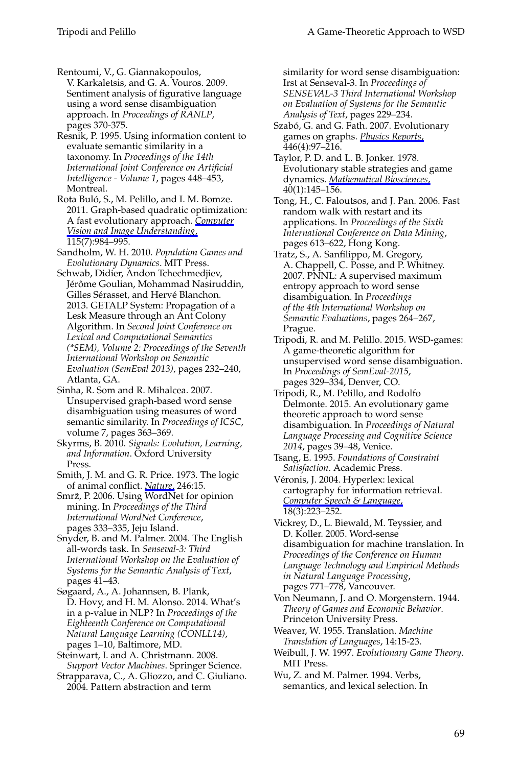Rentoumi, V., G. Giannakopoulos, V. Karkaletsis, and G. A. Vouros. 2009. Sentiment analysis of figurative language using a word sense disambiguation approach. In *Proceedings of RANLP*, pages 370-375.

Resnik, P. 1995. Using information content to evaluate semantic similarity in a taxonomy. In *Proceedings of the 14th International Joint Conference on Artificial Intelligence - Volume 1*, pages 448–453, Montreal.

Rota Buló, S., M. Pelillo, and I. M. Bomze. 2011. Graph-based quadratic optimization: A fast evolutionary approach. *[Computer](http://www.mitpressjournals.org/action/showLinks?crossref=10.1016%2Fj.cviu.2010.12.004) [Vision and Image Understanding](http://www.mitpressjournals.org/action/showLinks?crossref=10.1016%2Fj.cviu.2010.12.004)*, 115(7):984–995.

Sandholm, W. H. 2010. *Population Games and Evolutionary Dynamics*. MIT Press.

Schwab, Didier, Andon Tchechmedjiev, Jérôme Goulian, Mohammad Nasiruddin, Gilles Sérasset, and Hervé Blanchon. 2013. GETALP System: Propagation of a Lesk Measure through an Ant Colony Algorithm. In *Second Joint Conference on Lexical and Computational Semantics (\*SEM), Volume 2: Proceedings of the Seventh International Workshop on Semantic Evaluation (SemEval 2013)*, pages 232–240, Atlanta, GA.

Sinha, R. Som and R. Mihalcea. 2007. Unsupervised graph-based word sense disambiguation using measures of word semantic similarity. In *Proceedings of ICSC*, volume 7, pages 363–369.

Skyrms, B. 2010. *Signals: Evolution, Learning, and Information*. Oxford University Press.

Smith, J. M. and G. R. Price. 1973. The logic of animal conflict. *[Nature](http://www.mitpressjournals.org/action/showLinks?crossref=10.1038%2F246015a0)*, 246:15.

Smrž, P. 2006. Using WordNet for opinion mining. In *Proceedings of the Third International WordNet Conference*, pages 333–335, Jeju Island.

Snyder, B. and M. Palmer. 2004. The English all-words task. In *Senseval-3: Third International Workshop on the Evaluation of Systems for the Semantic Analysis of Text*, pages 41–43.

Søgaard, A., A. Johannsen, B. Plank, D. Hovy, and H. M. Alonso. 2014. What's in a p-value in NLP? In *Proceedings of the Eighteenth Conference on Computational Natural Language Learning (CONLL14)*, pages 1–10, Baltimore, MD.

Steinwart, I. and A. Christmann. 2008. *Support Vector Machines*. Springer Science.

Strapparava, C., A. Gliozzo, and C. Giuliano. 2004. Pattern abstraction and term

similarity for word sense disambiguation: Irst at Senseval-3. In *Proceedings of SENSEVAL-3 Third International Workshop on Evaluation of Systems for the Semantic Analysis of Text*, pages 229–234.

Szabó, G. and G. Fath. 2007. Evolutionary games on graphs. *[Physics Reports](http://www.mitpressjournals.org/action/showLinks?crossref=10.1016%2Fj.physrep.2007.04.004)*, 446(4):97–216.

Taylor, P. D. and L. B. Jonker. 1978. Evolutionary stable strategies and game dynamics. *[Mathematical Biosciences](http://www.mitpressjournals.org/action/showLinks?crossref=10.1016%2F0025-5564%2878%2990077-9)*, 40(1):145–156.

Tong, H., C. Faloutsos, and J. Pan. 2006. Fast random walk with restart and its applications. In *Proceedings of the Sixth International Conference on Data Mining*, pages 613–622, Hong Kong.

Tratz, S., A. Sanfilippo, M. Gregory, A. Chappell, C. Posse, and P. Whitney. 2007. PNNL: A supervised maximum entropy approach to word sense disambiguation. In *Proceedings of the 4th International Workshop on Semantic Evaluations*, pages 264–267, Prague.

Tripodi, R. and M. Pelillo. 2015. WSD-games: A game-theoretic algorithm for unsupervised word sense disambiguation. In *Proceedings of SemEval-2015*, pages 329–334, Denver, CO.

Tripodi, R., M. Pelillo, and Rodolfo Delmonte. 2015. An evolutionary game theoretic approach to word sense disambiguation. In *Proceedings of Natural Language Processing and Cognitive Science 2014*, pages 39–48, Venice.

Tsang, E. 1995. *Foundations of Constraint Satisfaction*. Academic Press.

Véronis, J. 2004. Hyperlex: lexical cartography for information retrieval. *[Computer Speech & Language](http://www.mitpressjournals.org/action/showLinks?crossref=10.1016%2Fj.csl.2004.05.002)*, 18(3):223–252.

Vickrey, D., L. Biewald, M. Teyssier, and D. Koller. 2005. Word-sense disambiguation for machine translation. In *Proceedings of the Conference on Human Language Technology and Empirical Methods in Natural Language Processing*, pages 771–778, Vancouver.

Von Neumann, J. and O. Morgenstern. 1944. *Theory of Games and Economic Behavior*. Princeton University Press.

Weaver, W. 1955. Translation. *Machine Translation of Languages*, 14:15-23.

Weibull, J. W. 1997. *Evolutionary Game Theory*. MIT Press.

Wu, Z. and M. Palmer. 1994. Verbs, semantics, and lexical selection. In